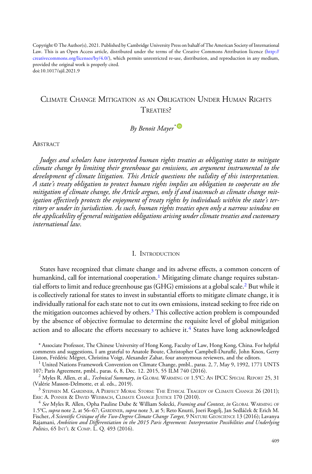Copyright © The Author(s), 2021. Published by Cambridge University Press on bahalf of The American Society of International Law. This is an Open Access article, distributed under the terms of the Creative Commons Attribution licence ([http://](http://creativecommons.org/licenses/by/4.0/) [creativecommons.org/licenses/by/4.0/](http://creativecommons.org/licenses/by/4.0/)), which permits unrestricted re-use, distribution, and reproduction in any medium, provided the original work is properly cited. doi:10.1017/ajil.2021.9

# CLIMATE CHANGE MITIGATION AS AN OBLIGATION UNDER HUMAN RIGHTS TREATIES?

# By Benoit Mayer<sup>\*</sup>

**ABSTRACT** 

Judges and scholars have interpreted human rights treaties as obligating states to mitigate climate change by limiting their greenhouse gas emissions, an argument instrumental to the development of climate litigation. This Article questions the validity of this interpretation. A state's treaty obligation to protect human rights implies an obligation to cooperate on the mitigation of climate change, the Article argues, only if and inasmuch as climate change mitigation effectively protects the enjoyment of treaty rights by individuals within the state's territory or under its jurisdiction. As such, human rights treaties open only a narrow window on the applicability of general mitigation obligations arising under climate treaties and customary international law.

#### I. INTRODUCTION

States have recognized that climate change and its adverse effects, a common concern of humankind, call for international cooperation.<sup>1</sup> Mitigating climate change requires substantial efforts to limit and reduce greenhouse gas (GHG) emissions at a global scale.<sup>2</sup> But while it is collectively rational for states to invest in substantial efforts to mitigate climate change, it is individually rational for each state not to cut its own emissions, instead seeking to free ride on the mitigation outcomes achieved by others.<sup>3</sup> This collective action problem is compounded by the absence of objective formulae to determine the requisite level of global mitigation action and to allocate the efforts necessary to achieve it.<sup>4</sup> States have long acknowledged

<sup>\*</sup> Associate Professor, The Chinese University of Hong Kong, Faculty of Law, Hong Kong, China. For helpful comments and suggestions, I am grateful to Anatole Boute, Christopher Campbell-Duruflé, John Knox, Gerry

<sup>&</sup>lt;sup>1</sup> United Nations Framework Convention on Climate Change, pmbl., paras. 2, 7, May 9, 1992, 1771 UNTS 107; Paris Agreement, pmbl., paras. 6, 8, Dec. 12. 2015, 55 ILM 740 (2016).

<sup>&</sup>lt;sup>2</sup> Myles R. Allen, et al., *Technical Summary, in* GLOBAL WARMING OF 1.5°C: AN IPCC SPECIAL REPORT 25, 31 (Valérie Masson-Delmotte, et al. eds., 2019).

 $^3$  Stephen M. Gardiner, A Perfect Moral Storm: The Ethical Tragedy of Climate Change 26 (2011); Eric A. Posner & David Weisbach, Climate Change Justice 170 (2010).

 $^4$  See Myles R. Allen, Opha Pauline Dube & William Solecki, Framing and Context, in GLOBAL WARMING OF 1.5°C, supra note 2, at 56–67; GARDINER, supra note 3, at 5; Reto Knutti, Joeri Rogelj, Jan Sedláček & Erich M. Fischer, *A Scientific Critique of the Two-Degree Climate Change Target,* 9 NATURE GEOSCIENCE 13 (2016); Lavanya Rajamani, Ambition and Differentiation in the 2015 Paris Agreement: Interpretative Possibilities and Underlying Politics, 65 INT'L & COMP. L. Q. 493 (2016).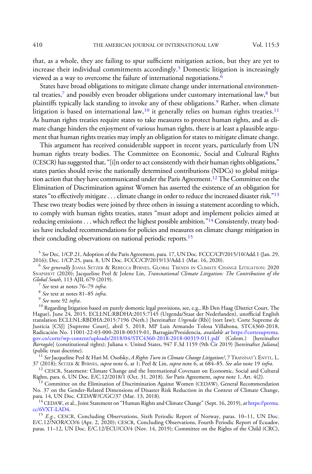that, as a whole, they are failing to spur sufficient mitigation action, but they are yet to increase their individual commitments accordingly.<sup>5</sup> Domestic litigation is increasingly viewed as a way to overcome the failure of international negotiations.<sup>6</sup>

States have broad obligations to mitigate climate change under international environmental treaties,<sup>7</sup> and possibly even broader obligations under customary international law, $8$  but plaintiffs typically lack standing to invoke any of these obligations.<sup>9</sup> Rather, when climate litigation is based on international law,<sup>10</sup> it generally relies on human rights treaties.<sup>11</sup> As human rights treaties require states to take measures to protect human rights, and as climate change hinders the enjoyment of various human rights, there is at least a plausible argument that human rights treaties may imply an obligation for states to mitigate climate change.

This argument has received considerable support in recent years, particularly from UN human rights treaty bodies. The Committee on Economic, Social and Cultural Rights (CESCR) has suggested that,"[i]n order to act consistently with their human rights obligations," states parties should revise the nationally determined contributions (NDCs) to global mitigation action that they have communicated under the Paris Agreement.12 The Committee on the Elimination of Discrimination against Women has asserted the existence of an obligation for states "to effectively mitigate . . . climate change in order to reduce the increased disaster risk."<sup>13</sup> These two treaty bodies were joined by three others in issuing a statement according to which, to comply with human rights treaties, states "must adopt and implement policies aimed at reducing emissions . . . which reflect the highest possible ambition."<sup>14</sup> Consistently, treaty bodies have included recommendations for policies and measures on climate change mitigation in their concluding observations on national periodic reports.<sup>15</sup>

 $^6$  See generally JOANA SETZER & REBECCA BYRNES, GLOBAL TRENDS IN CLIMATE CHANGE LITIGATION: 2020 SNAPSHOT (2020); Jacqueline Peel & Jolene Lin, *Transnational Climate Litigation: The Contribution of the Global South*, 113 AJIL 679 (2019).

<sup>7</sup> See text at notes 76–79 infra.<br><sup>8</sup> See text at notes 81–85 infra.<br><sup>9</sup> See note 92 infra.<br><sup>10</sup> Regarding litigation based on purely domestic legal provisions, see, e.g., Rb Den Haag (District Court, The Hague), June 24, 2015, ECLI:NL:RBDHA:2015:7145 (Urgenda/Staat der Nederlanden), unofficial English translation ECLI:NL:RBDHA:2015:7196 (Neth.) [hereinafter Urgenda (Rb)] (tort law); Corte Supreme de Justicia [CSJ] [Supreme Court], abril 5, 2018, MP Luis Armando Tolosa Villabona, STC4360-2018, .<br>Radicación No. 11001-22-03-000-2018-00319-01, Barragán/Presidencia, *available at* [https://cortesuprema.](https://cortesuprema.gov.co/corte/wp-content/uploads/2018/04/STC4360-2018-2018-00319-011.pdf) [gov.co/corte/wp-content/uploads/2018/04/STC4360-2018-2018-00319-011.pdf](https://cortesuprema.gov.co/corte/wp-content/uploads/2018/04/STC4360-2018-2018-00319-011.pdf) (Colom.) [hereinafter *Barragán*] (constitutional rights); Juliana v. United States, 947 F.3d 1159 (9th Čir 2019) [hereinafter *Juliana*]<br>(public trust doctrine).

<sup>11</sup> See Jacqueline Peel & Hari M. Osofsky, A Rights Turn in Climate Change Litigation?, 7 TRANSNAT'L ENVTL. L.<br>37 (2018); SETZER & BYRNES, supra note 6, at 1; Peel & Lin, supra note 6, at 684–85. See also note 19 infra.

37 (2018); SETZER & BYRNES, *supra* note 6, at 1; Peel & Lin, *supra* note 6, at 684–85. *See also* note 19 *infra*.<br><sup>12</sup> CESCR, Statement: Climate Change and the International Covenant on Economic, Social and Cultural Rights, para. 6, UN Doc. E/C.12/2018/1 (Oct. 31, 2018). *See* Paris Agreement, *supra* note 1, Art. 4(2).<br><sup>13</sup> Committee on the Elimination of Discrimination Against Women (CEDAW), General Recommendation

No. 37 on the Gender-Related Dimensions of Disaster Risk Reduction in the Context of Climate Change,

 $^{14}$  CEDAW, et al., Joint Statement on "Human Rights and Climate Change" (Sept. 16, 2019), *at* [https://perma.](https://perma.cc/6VXT-LAD4)  $cc/6 {\rm VXT\text{-}LAD4}$ .

<sup>15</sup> E.g., CESCR, Concluding Observations, Sixth Periodic Report of Norway, paras. 10–11, UN Doc. E/C.12/NOR/CO/6 (Apr. 2, 2020); CESCR, Concluding Observations, Fourth Periodic Report of Ecuador, paras. 11–12, UN Doc. E/C.12/ECU/CO/4 (Nov. 14, 2019); Committee on the Rights of the Child (CRC),

 $^5$  See Dec. 1/CP.21, Adoption of the Paris Agreement, para. 17, UN Doc. FCCC/CP/2015/10/Add.1 (Jan. 29, 2016); Dec. 1/CP.25, para. 8, UN Doc. FCCC/CP/2019/13/Add.1 (Mar. 16, 2020).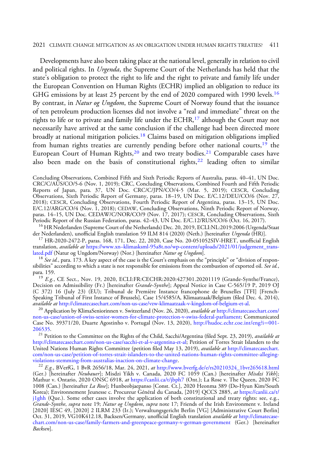#### 2021 CLIMATE CHANGE MITIGATION AS AN OBLIGATION UNDER HUMAN RIGHTS TREATIES? 411

Developments have also been taking place at the national level, generally in relation to civil and political rights. In *Urgenda*, the Supreme Court of the Netherlands has held that the state's obligation to protect the right to life and the right to private and family life under the European Convention on Human Rights (ECHR) implied an obligation to reduce its GHG emissions by at least 25 percent by the end of 2020 compared with 1990 levels.<sup>16</sup> By contrast, in *Natur og Ungdom*, the Supreme Court of Norway found that the issuance of ten petroleum production licenses did not involve a "real and immediate" threat on the rights to life or to private and family life under the ECHR,<sup>17</sup> although the Court may not necessarily have arrived at the same conclusion if the challenge had been directed more broadly at national mitigation policies.<sup>18</sup> Claims based on mitigation obligations implied from human rights treaties are currently pending before other national courts, $19$  the European Court of Human Rights,<sup>20</sup> and two treaty bodies.<sup>21</sup> Comparable cases have also been made on the basis of constitutional rights, $22$  leading often to similar

Concluding Observations, Combined Fifth and Sixth Periodic Reports of Australia, paras. 40–41, UN Doc. CRC/C/AUS/CO/5-6 (Nov. 1, 2019); CRC, Concluding Observations, Combined Fourth and Fifth Periodic Reports of Japan, para. 37, UN Doc. CRC/C/JPN/CO/4-5 (Mar. 5, 2019); CESCR, Concluding Observations, Sixth Periodic Report of Germany, paras. 18–19, UN Doc. E/C.12/DEU/CO/6 (Nov. 27, 2018); CESCR, Concluding Observations, Fourth Periodic Report of Argentina, paras. 13–15, UN Doc. E/C.12/ARG/CO/4 (Nov. 1, 2018); CEDAW, Concluding Observations, Ninth Periodic Report of Norway, paras. 14–15, UN Doc. CEDAW/C/NOR/CO/9 (Nov. 17, 2017); CESCR, Concluding Observations, Sixth<br>Periodic Report of the Russian Federation, paras. 42–43, UN Doc. E/C.12/RUS/CO/6 (Oct. 16, 2017).

<sup>16</sup> HR Nederlanden (Supreme Court of the Netherlands) Dec. 20, 2019, ECLI:NL:2019:2006 (Urgenda/Staat der Nederlanden), unofficial English translation 59 ILM 814 (2020) (Neth.) [hereinafter *Urgenda* (HR)].

 $^{17}$  HR-2020-2472-P, paras. 168, 171, Dec. 22, 2020, Case No. 20-051052SIV-HRET, unofficial English translation, *available at* [https:/](https://www.xn--klimasksml-95a8t.no/wp-content/uploads/2021/01/judgement_translated.pdf)/www.xn–klimasksml-95a8t.no/wp-content/uploads/2021/01/judgement\_trans-<br><u>lated.pdf</u> (Natur og Ungdom/Norway) (Nor.) [hereinafter *Natur og Ungdom*].

<sup>18</sup> See id., para. 173. A key aspect of the case is the Court's emphasis on the "principle" or "division of responsibilities" according to which a state is not responsible for emissions from the combustion of exported oil. See id., para. 159.

 $^{19}$  E.g., CE Sect., Nov. 19, 2020, ECLI:FR:CECHR:2020:427301.20201119 (Grande-Synthe/France), Decision on Admissibility (Fr.) [hereinafter *Grande-Synthe*]; Appeal Notice in Case C-565/19 P, 2019 OJ (C 372) 16 (July 23) (EU); Tribunal de Première Instance francophone de Bruxelles [TFI] [French-Speaking Tribunal of First Instance of Brussels], Case 15/4585/A, Klimaatzaak/Belgium (filed Dec. 4, 2014), *available at* http://climatecasechart.com/non-us-case/vzw-klimaatzaak-v-kingdom-of-belgium-et-al.

<sup>20</sup> Application by KlimaSeniorinnen v. Switzerland (Nov. 26, 2020), *available at* [http://climatecasechart.com/](http://climatecasechart.com/non-us-case/union-of-swiss-senior-women-for-climate-protection-v-swiss-federal-parliament) [non-us-case/union-of-swiss-senior-women-for-climate-protection-v-swiss-federal-parliament;](http://climatecasechart.com/non-us-case/union-of-swiss-senior-women-for-climate-protection-v-swiss-federal-parliament) Communicated Case No. 39371/20, Duarte Agostinho v. Portugal (Nov. 13, 2020), [http://hudoc.echr.coe.int/eng?i](http://hudoc.echr.coe.int/eng?i=001-206535)=[001-](http://hudoc.echr.coe.int/eng?i=001-206535)<br>206535.

<sup>21</sup> Petition to the Committee on the Rights of the Child, Sacchi/Argentina (filed Sept. 23, 2019), available at <http://climatecasechart.com/non-us-case/sacchi-et-al-v-argentina-et-al>; Petition of Torres Strait Islanders to the United Nations Human Rights Committee (petition filed May 13, 2019), available at [http://climatecasechart.](http://climatecasechart.com/non-us-case/petition-of-torres-strait-islanders-to-the-united-nations-human-rights-committee-alleging-violations-stemming-from-australias-inaction-on-climate-change) [com/non-us-case/petition-of-torres-strait-islanders-to-the-united-nations-human-rights-committee-alleging-](http://climatecasechart.com/non-us-case/petition-of-torres-strait-islanders-to-the-united-nations-human-rights-committee-alleging-violations-stemming-from-australias-inaction-on-climate-change)

 $v^{22}$  E.g., BVerfG, 1 BvR 2656/18, Mar. 24, 2021, at [http://www.bverfg.de/e/rs20210324\\_1bvr265618.html](http://www.bverfg.de/e/rs20210324_1bvr265618.html) (Ger.) [hereinafter *Neubauer*]; Misdzi Yikh v. Canada, 2020 FC 1059 (Can.) [hereinafter *Misdzi Yikh*]; Mathur v. Ontario, 2020 ONSC 6918, at <https://canlii.ca/t/jbph7> (Ont.); La Rose v. The Queen, 2020 FC 1008 (Can.) [hereinafter *La Rose*]; Hunbeobjaepanso [Const. Ct.], 2020 Heonma 389 (Do-Hyun Kim/South Korea); Environnement Jeunesse c. Procureur Général du Canada, [2019] QCCS 2885, at [https://canlii.ca/t/](https://canlii.ca/t/j1ghh) [j1ghh](https://canlii.ca/t/j1ghh) (Que.). Some other cases involve the application of both constitutional and treaty rights: see, e.g., Grande-Synthe, supra note 19; Natur og Ungdom, supra note 17; Friends of the Irish Environment v. Ireland [2020] IESC 49, [2020] 2 ILRM 233 (Ir.); Verwaltungsgericht Berlin [VG] [Administrative Court Berlin] Oct. 31, 2019, VG10K412.18, Backsen/Germany, unofficial English translation *available at [http://climatecase](http://climatecasechart.com/non-us-case/family-farmers-and-greenpeace-germany-v-german-government)*[chart.com/non-us-case/family-farmers-and-greenpeace-germany-v-german-government](http://climatecasechart.com/non-us-case/family-farmers-and-greenpeace-germany-v-german-government) (Ger.) [hereinafter Backsen].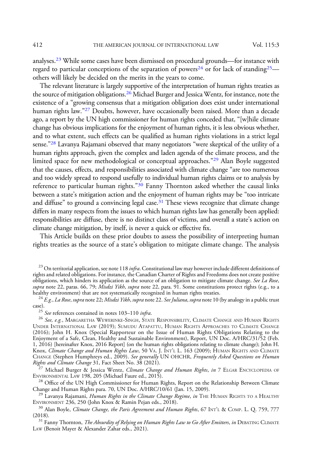analyses.<sup>23</sup> While some cases have been dismissed on procedural grounds—for instance with regard to particular conceptions of the separation of powers<sup>24</sup> or for lack of standing<sup>25</sup> others will likely be decided on the merits in the years to come.

The relevant literature is largely supportive of the interpretation of human rights treaties as the source of mitigation obligations.<sup>26</sup> Michael Burger and Jessica Wentz, for instance, note the existence of a "growing consensus that a mitigation obligation does exist under international human rights law."<sup>27</sup> Doubts, however, have occasionally been raised. More than a decade ago, a report by the UN high commissioner for human rights conceded that, "[w]hile climate change has obvious implications for the enjoyment of human rights, it is less obvious whether, and to what extent, such effects can be qualified as human rights violations in a strict legal sense."<sup>28</sup> Lavanya Rajamani observed that many negotiators "were skeptical of the utility of a human rights approach, given the complex and laden agenda of the climate process, and the limited space for new methodological or conceptual approaches."<sup>29</sup> Alan Boyle suggested that the causes, effects, and responsibilities associated with climate change "are too numerous and too widely spread to respond usefully to individual human rights claims or to analysis by reference to particular human rights."<sup>30</sup> Fanny Thornton asked whether the causal links between a state's mitigation action and the enjoyment of human rights may be "too intricate and diffuse" to ground a convincing legal case. $31$  These views recognize that climate change differs in many respects from the issues to which human rights law has generally been applied: responsibilities are diffuse, there is no distinct class of victims, and overall a state's action on climate change mitigation, by itself, is never a quick or effective fix.

This Article builds on these prior doubts to assess the possibility of interpreting human rights treaties as the source of a state's obligation to mitigate climate change. The analysis

<sup>23</sup> On territorial application, see note 118 *infra*. Constitutional law may however include different definitions of rights and related obligations. For instance, the Canadian Charter of Rights and Freedoms does not create positive obligations, which hinders its application as the source of an obligation to mitigate climate change. See La Rose, supra note 22, paras. 66, 79; Misdzi Yikh, supra note 22, para. 91. Some constitutions protect rights (e.g., to a healthy environment) that are not systematically recognized in human rights treaties.

 $h^{24}$  E.g., La Rose, supra note 22; Misdzi Yikh, supra note 22. See Juliana, supra note 10 (by analogy in a public trust case).<br><sup>25</sup> See references contained in notes 103–110 *infra.*<br><sup>26</sup> See, e.g., MARGARETHA WEWERINKE-SINGH, STATE RESPONSIBILITY, CLIMATE CHANGE AND HUMAN RIGHTS

UNDER INTERNATIONAL LAW (2019); SUMUDU ATAPATTU, HUMAN RIGHTS APPROACHES TO CLIMATE CHANGE (2016); John H. Knox (Special Rapporteur on the Issue of Human Rights Obligations Relating to the Enjoyment of a Safe, Clean, Healthy and Sustainable Environment), Report, UN Doc. A/HRC/31/52 (Feb. 1, 2016) [hereinafter Knox, 2016 Report] (on the human rights obligations relating to climate change); John H. Knox, *Climate Change and Human Rights Law*, 50 Va. J. Int'l. L. 163 (2009); Human Rights and Climate CHANGE (Stephen Humphreys ed., 2009). *See generally* UN OHCHR, *Frequently Asked Questions on Human* 

 $\frac{27}{27}$  Michael Burger & Jessica Wentz, *Climate Change and Human Rights, in* 7 Elgar ENCYCLOPEDIA OF ENVIRONMENTAL LAW 198, 205 (Michael Faure ed., 2015).

<sup>28</sup> Office of the UN High Commissioner for Human Rights, Report on the Relationship Between Climate Change and Human Rights para. 70, UN Doc.  $A/HRC/10/61$  (Jan. 15, 2009).

<sup>29</sup> Lavanya Rajamani, *Human Rights in the Climate Change Regime, in* THE HUMAN RIGHTS TO A HEALTHY<br>ENVIRONMENT 236, 250 (John Knox & Ramin Pejan eds., 2018).

 $^{30}$  Alan Boyle, *Climate Change, the Paris Agreement and Human Rights*, 67 INT'L & COMP. L. Q. 759, 777 (2018).

 $^{31}$  Fanny Thornton, *The Absurdity of Relying on Human Rights Law to Go After Emitters, in DEBATING CLIMATE* LAW (Benoit Mayer & Alexander Zahar eds., 2021).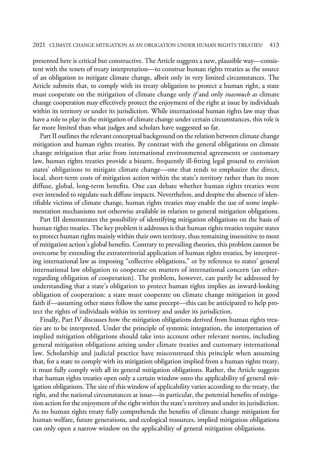presented here is critical but constructive. The Article suggests a new, plausible way—consistent with the tenets of treaty interpretation—to construe human rights treaties as the source of an obligation to mitigate climate change, albeit only in very limited circumstances. The Article submits that, to comply with its treaty obligation to protect a human right, a state must cooperate on the mitigation of climate change only *if* and only *inasmuch as* climate change cooperation may effectively protect the enjoyment of the right at issue by individuals within its territory or under its jurisdiction. While international human rights law may thus have a role to play in the mitigation of climate change under certain circumstances, this role is far more limited than what judges and scholars have suggested so far.

Part II outlines the relevant conceptual background on the relation between climate change mitigation and human rights treaties. By contrast with the general obligations on climate change mitigation that arise from international environmental agreements or customary law, human rights treaties provide a bizarre, frequently ill-fitting legal ground to envision states' obligations to mitigate climate change—one that tends to emphasize the direct, local, short-term costs of mitigation action within the state's territory rather than its more diffuse, global, long-term benefits. One can debate whether human rights treaties were ever intended to regulate such diffuse impacts. Nevertheless, and despite the absence of identifiable victims of climate change, human rights treaties may enable the use of some implementation mechanisms not otherwise available in relation to general mitigation obligations.

Part III demonstrates the possibility of identifying mitigation obligations on the basis of human rights treaties. The key problem it addresses is that human rights treaties require states to protect human rights mainly within their own territory, thus remaining insensitive to most of mitigation action's global benefits. Contrary to prevailing theories, this problem cannot be overcome by extending the extraterritorial application of human rights treaties, by interpreting international law as imposing "collective obligations," or by reference to states' general international law obligation to cooperate on matters of international concern (an otherregarding obligation of cooperation). The problem, however, can partly be addressed by understanding that a state's obligation to protect human rights implies an inward-looking obligation of cooperation: a state must cooperate on climate change mitigation in good faith if—assuming other states follow the same precept—this can be anticipated to help protect the rights of individuals within its territory and under its jurisdiction.

Finally, Part IV discusses how the mitigation obligations derived from human rights treaties are to be interpreted. Under the principle of systemic integration, the interpretation of implied mitigation obligations should take into account other relevant norms, including general mitigation obligations arising under climate treaties and customary international law. Scholarship and judicial practice have misconstrued this principle when assuming that, for a state to comply with its mitigation obligation implied from a human rights treaty, it must fully comply with all its general mitigation obligations. Rather, the Article suggests that human rights treaties open only a certain window onto the applicability of general mitigation obligations. The size of this window of applicability varies according to the treaty, the right, and the national circumstances at issue—in particular, the potential benefits of mitigation action for the enjoyment of the right within the state's territory and under its jurisdiction. As no human rights treaty fully comprehends the benefits of climate change mitigation for human welfare, future generations, and ecological resources, implied mitigation obligations can only open a narrow window on the applicability of general mitigation obligations.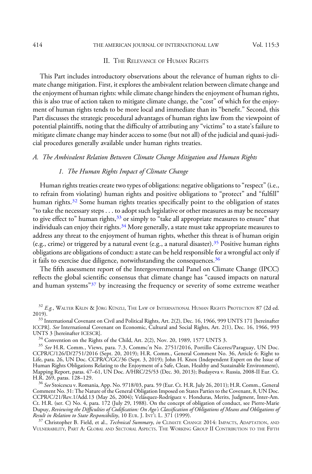#### 414 THE AMERICAN JOURNAL OF INTERNATIONAL LAW Vol. 115:3

# II. THE RELEVANCE OF HUMAN RIGHTS

This Part includes introductory observations about the relevance of human rights to climate change mitigation. First, it explores the ambivalent relation between climate change and the enjoyment of human rights: while climate change hinders the enjoyment of human rights, this is also true of action taken to mitigate climate change, the "cost" of which for the enjoyment of human rights tends to be more local and immediate than its "benefit." Second, this Part discusses the strategic procedural advantages of human rights law from the viewpoint of potential plaintiffs, noting that the difficulty of attributing any "victims" to a state's failure to mitigate climate change may hinder access to some (but not all) of the judicial and quasi-judicial procedures generally available under human rights treaties.

## A. The Ambivalent Relation Between Climate Change Mitigation and Human Rights

# 1. The Human Rights Impact of Climate Change

Human rights treaties create two types of obligations: negative obligations to "respect" (i.e., to refrain from violating) human rights and positive obligations to "protect" and "fulfill" human rights.<sup>32</sup> Some human rights treaties specifically point to the obligation of states "to take the necessary steps . . . to adopt such legislative or other measures as may be necessary to give effect to" human rights, $33$  or simply to "take all appropriate measures to ensure" that individuals can enjoy their rights. $34$  More generally, a state must take appropriate measures to address any threat to the enjoyment of human rights, whether this threat is of human origin (e.g., crime) or triggered by a natural event (e.g., a natural disaster).<sup>35</sup> Positive human rights obligations are obligations of conduct: a state can be held responsible for a wrongful act only if it fails to exercise due diligence, notwithstanding the consequences. $36$ 

The fifth assessment report of the Intergovernmental Panel on Climate Change (IPCC) reflects the global scientific consensus that climate change has "caused impacts on natural and human systems"<sup>37</sup> by increasing the frequency or severity of some extreme weather

<sup>34</sup> Convention on the Rights of the Child, Art. 2(2), Nov. 20, 1989, 1577 UNTS 3.<br><sup>35</sup> See H.R. Comm., Views, para. 7.3, Commc'n No. 2751/2016, Portillo Cáceres/Paraguay, UN Doc. CCPR/C/126/D/2751/2016 (Sept. 20, 2019); H.R. Comm., General Comment No. 36, Article 6: Right to Life, para. 26, UN Doc. CCPR/C/GC/36 (Sept. 3, 2019); John H. Knox (Independent Expert on the Issue of Human Rights Obligations Relating to the Enjoyment of a Safe, Clean, Healthy and Sustainable Environment), Mapping Report, paras. 47–61, UN Doc. A/HRC/25/53 (Dec. 30, 2013); Budayeva v. Russia, 2008-II Eur. Ct.

<sup>36</sup> See Stoicescu v. Romania, App. No. 9718/03, para. 59 (Eur. Ct. H.R. July 26, 2011); H.R. Comm., General Comment No. 31: The Nature of the General Obligation Imposed on States Parties to the Covenant, 8, UN Doc. CCPR/C/21/Rev.1/Add.13 (May 26, 2004); Velásquez-Rodríguez v. Honduras, Merits, Judgment, Inter-Am. Ct. H.R. (ser. C) No. 4, para. 172 (July 29, 1988). On the concept of obligation of conduct, see Pierre-Marie Dupuy, Reviewing the Difficulties of Codification: On Ago's Classification of Obligations of Means and Obligations of<br>Result in Relation to State Responsibility, 10 EUR. J. INT'L L. 371 (1999).

 $^{37}$  Christopher B. Field, et al., *Technical Summary, in* CLIMATE CHANGE 2014: IMPACTS, ADAPTATION, AND VULNERABILITY, PART A: GLOBAL AND SECTORAL ASPECTS. THE WORKING GROUP II CONTRIBUTION TO THE FIFTH

 $32$  E.g., Walter Kälin & Jörg Künzli, The Law of International Human Rights Protection 87 (2d ed. 2019).

<sup>&</sup>lt;sup>33</sup> International Covenant on Civil and Political Rights, Art. 2(2), Dec. 16, 1966, 999 UNTS 171 [hereinafter ICCPR]. See International Covenant on Economic, Cultural and Social Rights, Art. 2(1), Dec. 16, 1966, 993 UNTS 3 [hereinafter ICESCR].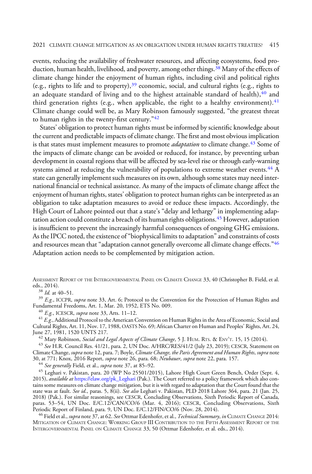events, reducing the availability of freshwater resources, and affecting ecosystems, food production, human health, livelihood, and poverty, among other things.<sup>38</sup> Many of the effects of climate change hinder the enjoyment of human rights, including civil and political rights (e.g., rights to life and to property),  $39$  economic, social, and cultural rights (e.g., rights to an adequate standard of living and to the highest attainable standard of health), $40$  and third generation rights (e.g., when applicable, the right to a healthy environment).<sup>41</sup> Climate change could well be, as Mary Robinson famously suggested, "the greatest threat to human rights in the twenty-first century." $42$ 

States' obligation to protect human rights must be informed by scientific knowledge about the current and predictable impacts of climate change. The first and most obvious implication is that states must implement measures to promote *adaptation* to climate change.<sup>43</sup> Some of the impacts of climate change can be avoided or reduced, for instance, by preventing urban development in coastal regions that will be affected by sea-level rise or through early-warning systems aimed at reducing the vulnerability of populations to extreme weather events.<sup>44</sup> A state can generally implement such measures on its own, although some states may need international financial or technical assistance. As many of the impacts of climate change affect the enjoyment of human rights, states' obligation to protect human rights can be interpreted as an obligation to take adaptation measures to avoid or reduce these impacts. Accordingly, the High Court of Lahore pointed out that a state's "delay and lethargy" in implementing adaptation action could constitute a breach of its human rights obligations.<sup>45</sup> However, adaptation is insufficient to prevent the increasingly harmful consequences of ongoing GHG emissions. As the IPCC noted, the existence of"biophysical limits to adaptation"and constraints of costs and resources mean that "adaptation cannot generally overcome all climate change effects."<sup>46</sup> Adaptation action needs to be complemented by mitigation action.

ASSESSMENT REPORT OF THE INTERGOVERNMENTAL PANEL ON CLIMATE CHANGE 33, 40 (Christopher B. Field, et al.

<sup>38</sup> Id. at 40–51.  $^{39}$  E.g., ICCPR, *supra* note 33, Art. 6; Protocol to the Convention for the Protection of Human Rights and Fundamental Freedoms, Art. 1, Mar. 20, 1952, ETS No. 009.

<sup>40</sup> *E.g.*, ICESCR, *supra* note 33, Arts. 11–12.<br><sup>41</sup> *E.g.*, Additional Protocol to the American Convention on Human Rights in the Area of Economic, Social and Cultural Rights, Art. 11, Nov. 17, 1988, OASTS No. 69; African Charter on Human and Peoples' Rights, Art. 24,

 $^{42}$  Mary Robinson, Social and Legal Aspects of Climate Change, 5 J. HUM. RTS. & ENV'T. 15, 15 (2014).

<sup>43</sup> See H.R. Council Res. 41/21, para. 2, UN Doc. A/HRC/RES/41/2 (July 23, 2019); CESCR, Statement on Climate Change, supra note 12, para. 7; Boyle, Climate Change, the Paris Agreement and Human Rights, supra note 30, at 771; Knox, 2016 Report, *supra* note 26, para. 68; *Neubauer*, *supra* note 22, para. 157.<br><sup>44</sup> See generally Field, et al., *supra* note 37, at 85–92.

<sup>45</sup> Leghari v. Pakistan, para. 20 (WP No 25501/2015), Lahore High Court Green Bench, Order (Sept. 4, 2015), *available at https:*//elaw.org/pk\_Leghari (Pak.). The Court referred to a policy framework which also contains some measures on climate change mitigation, but it is with regard to adaptation that the Court found that the state was at fault. See id., paras. 5, 8(ii). See also Leghari v. Pakistan, PLD 2018 Lahore 364, para. 21 (Jan. 25, 2018) (Pak.). For similar reasonings, see CESCR, Concluding Observations, Sixth Periodic Report of Canada, paras. 53–54, UN Doc. E/C.12/CAN/CO/6 (Mar. 4, 2016); CESCR, Concluding Observations, Sixth Periodic Report of Finland, para. 9, UN Doc. E/C.12/FIN/CO/6 (Nov. 28, 2014).

 $^{46}$  Field et al., *supra* note 37, at 62. See Ottmar Edenhofer, et al., *Technical Summary, in* CLIMATE CHANGE 2014: MITIGATION OF CLIMATE CHANGE: WORKING GROUP III CONTRIBUTION TO THE FIFTH ASSESSMENT REPORT OF THE INTERGOVERNMENTAL PANEL ON CLIMATE CHANGE 33, 50 (Ottmar Edenhofer, et al. eds., 2014).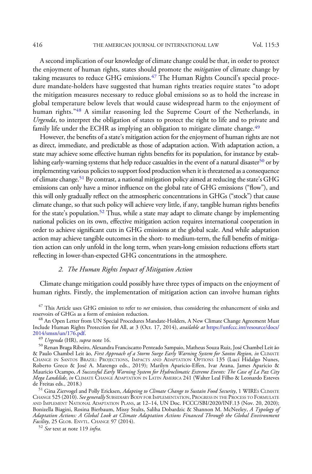416 THE AMERICAN JOURNAL OF INTERNATIONAL LAW Vol. 115:3

A second implication of our knowledge of climate change could be that, in order to protect the enjoyment of human rights, states should promote the *mitigation* of climate change by taking measures to reduce GHG emissions. $47$  The Human Rights Council's special procedure mandate-holders have suggested that human rights treaties require states "to adopt the mitigation measures necessary to reduce global emissions so as to hold the increase in global temperature below levels that would cause widespread harm to the enjoyment of human rights."<sup>48</sup> A similar reasoning led the Supreme Court of the Netherlands, in Urgenda, to interpret the obligation of states to protect the right to life and to private and family life under the ECHR as implying an obligation to mitigate climate change.<sup>49</sup>

However, the benefits of a state's mitigation action for the enjoyment of human rights are not as direct, immediate, and predictable as those of adaptation action. With adaptation action, a state may achieve some effective human rights benefits for its population, for instance by establishing early-warning systems that help reduce casualties in the event of a natural disaster<sup>50</sup> or by implementing various policies to support food production when it is threatened as a consequence of climate change.51 By contrast, a national mitigation policy aimed at reducing the state's GHG emissions can only have a minor influence on the global rate of GHG emissions ("flow"), and this will only gradually reflect on the atmospheric concentrations in GHGs ("stock") that cause climate change, so that such policy will achieve very little, if any, tangible human rights benefits for the state's population.<sup>52</sup> Thus, while a state may adapt to climate change by implementing national policies on its own, effective mitigation action requires international cooperation in order to achieve significant cuts in GHG emissions at the global scale. And while adaptation action may achieve tangible outcomes in the short- to medium-term, the full benefits of mitigation action can only unfold in the long term, when years-long emission reductions efforts start reflecting in lower-than-expected GHG concentrations in the atmosphere.

# 2. The Human Rights Impact of Mitigation Action

Climate change mitigation could possibly have three types of impacts on the enjoyment of human rights. Firstly, the implementation of mitigation action can involve human rights

 $^{47}$  This Article uses GHG emission to refer to *net* emission, thus considering the enhancement of sinks and reservoirs of GHGs as a form of emission reduction.

<sup>&</sup>lt;sup>48</sup> An Open Letter from UN Special Procedures Mandate-Holders, A New Climate Change Agreement Must Include Human Rights Protection for All, at 3 (Oct. 17, 2014), *available at https:*//unfccc.int/resource/docs/<br>2014/smsn/un/176.pdf.

[<sup>2014/</sup>smsn/un/176.pdf.](https://unfccc.int/resource/docs/2014/smsn/un/176.pdf)<br><sup>49</sup> *Urgenda* (HR), *supra* note 16.<br><sup>50</sup> Renan Braga Ribeiro, Alexandra Franciscatto Penteado Sampaio, Matheus Souza Ruiz, José Chambel Leit ão & Paulo Chambel Leit ão, First Approach of a Storm Surge Early Warning System for Santos Region, in CLIMATE CHANGE IN SANTOS BRAZIL: PROJECTIONS, IMPACTS AND ADAPTATION OPTIONS 135 (Lucí Hidalgo Nunes, Roberto Greco & José A. Marengo eds., 2019); Marilyn Aparicio-Effen, Ivar Arana, James Aparicio & Mauricio Ocampo, A Successful Early Warning System for Hydroclimatic Extreme Events: The Case of La Paz City Mega Landslide, in CLIMATE CHANGE ADAPTATION IN LATIN AMERICA 241 (Walter Leal Filho & Leonardo Esteves de Freitas eds., 2018.)

 $^{51}$  Gina Ziervogel and Polly Ericksen, Adapting to Climate Change to Sustain Food Security, 1 WIREs CLIMATE CHANGE 525 (2010). See generally SUBSIDIARY BODY FOR IMPLEMENTATION, PROGRESS IN THE PROCESS TO FORMULATE AND IMPLEMENT NATIONAL ADAPTATION PLANS, at 12–14, UN Doc. FCCC/SBI/2020/INF.13 (Nov. 20, 2020); Bonizella Biagini, Rosina Bierbaum, Missy Stults, Saliha Dobardzic & Shannon M. McNeeley, A Typology of Adaptation Actions: A Global Look at Climate Adaptation Actions Financed Through the Global Environment Facility, 25 GLOB. ENVTL. CHANGE 97 (2014).<br><sup>52</sup> See text at note 119 infra.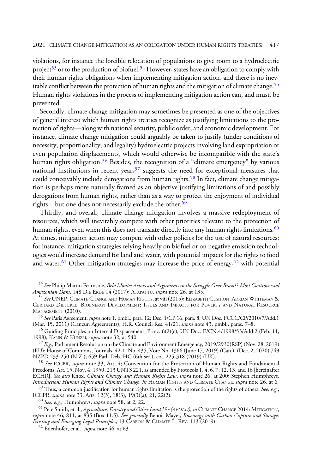violations, for instance the forcible relocation of populations to give room to a hydroelectric project<sup>53</sup> or to the production of biofuel.<sup>54</sup> However, states have an obligation to comply with their human rights obligations when implementing mitigation action, and there is no inevitable conflict between the protection of human rights and the mitigation of climate change.<sup>55</sup> Human rights violations in the process of implementing mitigation action can, and must, be prevented.

Secondly, climate change mitigation may sometimes be presented as one of the objectives of general interest which human rights treaties recognize as justifying limitations to the protection of rights—along with national security, public order, and economic development. For instance, climate change mitigation could arguably be taken to justify (under conditions of necessity, proportionality, and legality) hydroelectric projects involving land expropriation or even population displacements, which would otherwise be incompatible with the state's human rights obligation.<sup>56</sup> Besides, the recognition of a "climate emergency" by various national institutions in recent years<sup>57</sup> suggests the need for exceptional measures that could conceivably include derogations from human rights.<sup>58</sup> In fact, climate change mitigation is perhaps more naturally framed as an objective justifying limitations of and possibly derogations from human rights, rather than as a way to protect the enjoyment of individual rights—but one does not necessarily exclude the other.<sup>59</sup>

Thirdly, and overall, climate change mitigation involves a massive redeployment of resources, which will inevitably compete with other priorities relevant to the protection of human rights, even when this does not translate directly into any human rights limitations.<sup>60</sup> At times, mitigation action may compete with other policies for the use of natural resources: for instance, mitigation strategies relying heavily on biofuel or on negative emission technologies would increase demand for land and water, with potential impacts for the rights to food and water.<sup>61</sup> Other mitigation strategies may increase the price of energy,<sup>62</sup> with potential

55 See Paris Agreement, supra note 1, pmbl., para. 12; Dec. 1/CP.16, para. 8, UN Doc. FCCC/CP/2010/7/Add.1 (Mar. 15, 2011) (Cancun Agreements); H.R. Council Res. 41/21, *supra* note 43, pmbl., paras. 7–8.

<sup>56</sup> Guiding Principles on Internal Displacement, Princ. 6(2)(c), UN Doc. E/CN.4/1998/53/Add.2 (Feb. 11, 1998); KÄLIN & KÜNZLI, *supra* note 32, at 540.

 $^{57}$  E.g., Parliament Resolution on the Climate and Environment Emergency, 2019/2930(RSP) (Nov. 28, 2019) (EU); House of Commons, Journals, 42-1, No. 435, Vote No. 1366 (June 17, 2019) (Can.); (Dec. 2, 2020) 749<br>NZPD 233-250 (N.Z.); 659 Parl. Deb. HC (6th ser.), col. 225-318 (2019) (UK).

 $58$  See ICCPR, supra note 33, Art. 4; Convention for the Protection of Human Rights and Fundamental Freedoms, Art. 15, Nov. 4, 1950, 213 UNTS 221, as amended by Protocols 1, 4, 6, 7, 12, 13, and 16 [hereinafter ECHR]. *See also* Knox, *Climate Change and Human Rights Law, supra* note 26, at 200; Stephen Humphreys,

*Introduction: Human Rights and Climate Change, in* HUMAN RIGHTS AND CLIMATE CHANGE, *supra* note 26, at 6. <sup>59</sup> Thus, a common justification for human rights limitation is the protection of the rights of others. *See, e.* 

<sup>60</sup> See, e.g., Humphreys, supra note 58, at 2, 22. *21, 22.* 60 See, e.g., Humphreys, supra note 58, at 2, 22. <sup>61</sup> Pete Smith, et al., *Agriculture, Forestry and Other Land Use (AFOLU), in* CLIMATE CHANGE 2014: MITIGATI supra note 46, 811, at 835 (Box 11.5). See generally Benoit Mayer, Bioenergy with Carbon Capture and Storage: Existing and Emerging Legal Principles, 13 CARBON & CLIMATE L. REV. 113 (2019).<br><sup>62</sup> Edenhofer, et al., *supra* note 46, at 63.

<sup>&</sup>lt;sup>53</sup> See Philip Martin Fearnside, Belo Monte: Actors and Arguments in the Struggle Over Brazil's Most Controversial Amazonian Dam, 148 DIE ERDE 14 (2017); ATAPATTU, supra note 26, at 135.

<sup>&</sup>lt;sup>54</sup> See UNEP, Climate Change and Human Rights, at viii (2015); Elizabeth Cushion, Adrian Whiteman & GERHARD DIETERLE, BIOENERGY DEVELOPMENT: ISSUES AND IMPACTS FOR POVERTY AND NATURAL RESOURCE MANAGEMENT (2010).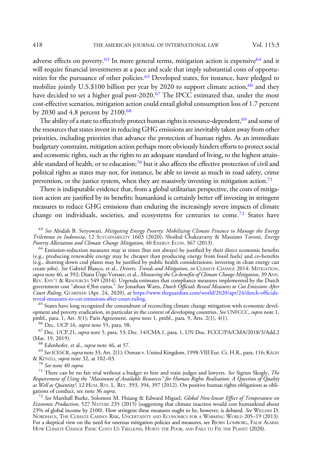adverse effects on poverty.<sup>63</sup> In more general terms, mitigation action is expensive<sup>64</sup> and it will require financial investments at a pace and scale that imply substantial costs of opportunities for the pursuance of other policies.<sup>65</sup> Developed states, for instance, have pledged to mobilize jointly U.S.\$100 billion per year by  $2020$  to support climate action,<sup>66</sup> and they have decided to set a higher goal post-2020.<sup>67</sup> The IPCC estimated that, under the most cost-effective scenarios, mitigation action could entail global consumption loss of 1.7 percent by 2030 and 4.8 percent by 2100.<sup>68</sup>

The ability of a state to effectively protect human rights is resource-dependent,<sup>69</sup> and some of the resources that states invest in reducing GHG emissions are inevitably taken away from other priorities, including priorities that advance the protection of human rights. As an immediate budgetary constraint, mitigation action perhaps more obviously hinders efforts to protect social and economic rights, such as the rights to an adequate standard of living, to the highest attainable standard of health, or to education; $70$  but it also affects the effective protection of civil and political rights as states may not, for instance, be able to invest as much in road safety, crime prevention, or the justice system, when they are massively investing in mitigation action.<sup>71</sup>

There is indisputable evidence that, from a global utilitarian perspective, the costs of mitigation action are justified by its benefits: humankind is certainly better off investing in stringent measures to reduce GHG emissions than enduring the increasingly severe impacts of climate change on individuals, societies, and ecosystems for centuries to come.<sup>72</sup> States have

 $^{63}$  See Abidah B. Setyowati, *Mitigating Energy Poverty: Mobilizing Climate Finance to Manage the Energy* Trilemma in Indonesia, 12 SUSTAINABILITY 1603 (2020); Shoibal Chakravarty & Massimo Tavoni, Energy

 $64$  Emission-reduction measures may at times (but not always) be justified by their direct economic benefits (e.g., producing renewable energy may be cheaper than producing energy from fossil fuels) and co-benefits (e.g., shutting down coal plants may be justified by public health considerations; investing in clean energy can create jobs). *See* Gabriel Blanco, et al., *Drivers, Trends and Mitigation, in* CLIMATE CHANGE 2014: MITIGATION, supra note 46, at 392; Diana Ürge-Vorsatz, et al., *Measuring the Co-benefits of Climate Change Mitigation,* 39 Ann. REV. ENV'<sup>T</sup> & RESOURCES 549 (2014). Urgenda estimates that compliance measures implemented by the Dutch government cost "about €3bn euros." See Jonathan Watts, Dutch Officials Reveal Measures to Cut Emissions After Court Ruling, GUARDIAN (Apr. 24, 2020), at [https://www.theguardian.com/world/2020/apr/24/dutch-of](https://www.theguardian.com/world/2020/apr/24/dutch-officials-reveal-measures-to-cut-emissions-after-court-ruling)ficials-

 $65$  States have long recognized the conundrum of reconciling climate change mitigation with economic development and poverty eradication, in particular in the context of developing countries. See UNFCCC, supra note 1, pmbl., para. 1, Art. 3(1); Paris Agreement, *supra* note 1, pmbl., para. 9, Arts. 2(1), 4(1). <sup>66</sup> Dec. 1/CP.16, *supra* note 55, para. 98.

 $^{67}$  Dec. 1/CP.21, *supra* note 5, para. 53; Dec. 14/CMA.1, para. 1, UN Doc. FCCC/PA/CMA/2018/3/Add.2 (Mar. 19, 2019).

<sup>68</sup> Edenhofer, et al., *supra* note 46, at 57.<br><sup>69</sup> See ICESCR, *supra* note 33, Art. 2(1); Osman v. United Kingdom, 1998-VIII Eur. Ct. H.R., para. 116; KÄLIN<br>& KÜNZLI, *supra* note 32, at 102–03. & KÜNZLI, supra note 32, at 102–03.<br><sup>70</sup> See note 40 supra.<br><sup>71</sup> There can be no fair trial without a budget to hire and train judges and lawyers. See Sigrun Skogly, *The* 

Requirement of Using the "Maximum of Available Resources" for Human Rights Realisation: A Question of Quality *as Well as Quantity?*, 12 HUM. RTs. L. REV. 393, 394, 397 (2012). On positive human rights obligations as obligations of conduct, see note 36 supra.<br><sup>72</sup> See Marshall Burke, Solomon M. Hsiang & Edward Miguel, Global Non-linear Effect of Temperature on

Economic Production, 527 NATURE 235 (2015) (suggesting that climate inaction would cost humankind about 23% of global income by 2100). How stringent these measures ought to be, however, is debated. See WILLIAM D. NORDHAUS, THE CLIMATE CASINO: RISK, UNCERTAINTY AND ECONOMICS FOR A WARMING WORLD 205–19 (2013). For a skeptical view on the need for onerous mitigation policies and measures, see BJORN LOMBORG, FALSE ALARM: HOW CLIMATE CHANGE PANIC COSTS US TRILLIONS, HURTS THE POOR, AND FAILS TO FIX THE PLANET (2020).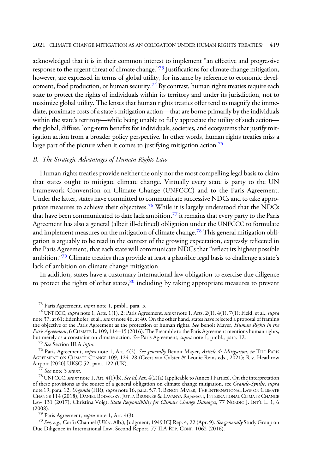#### 2021 CLIMATE CHANGE MITIGATION AS AN OBLIGATION UNDER HUMAN RIGHTS TREATIES? 419

acknowledged that it is in their common interest to implement "an effective and progressive response to the urgent threat of climate change."<sup>73</sup> Justifications for climate change mitigation, however, are expressed in terms of global utility, for instance by reference to economic development, food production, or human security.<sup>74</sup> By contrast, human rights treaties require each state to protect the rights of individuals within its territory and under its jurisdiction, not to maximize global utility. The lenses that human rights treaties offer tend to magnify the immediate, proximate costs of a state's mitigation action—that are borne primarily by the individuals within the state's territory—while being unable to fully appreciate the utility of such action the global, diffuse, long-term benefits for individuals, societies, and ecosystems that justify mitigation action from a broader policy perspective. In other words, human rights treaties miss a large part of the picture when it comes to justifying mitigation action.<sup>75</sup>

# B. The Strategic Advantages of Human Rights Law

Human rights treaties provide neither the only nor the most compelling legal basis to claim that states ought to mitigate climate change. Virtually every state is party to the UN Framework Convention on Climate Change (UNFCCC) and to the Paris Agreement. Under the latter, states have committed to communicate successive NDCs and to take appropriate measures to achieve their objectives.<sup>76</sup> While it is largely understood that the NDCs that have been communicated to date lack ambition, $77$  it remains that every party to the Paris Agreement has also a general (albeit ill-defined) obligation under the UNFCCC to formulate and implement measures on the mitigation of climate change.<sup>78</sup> This general mitigation obligation is arguably to be read in the context of the growing expectation, expressly reflected in the Paris Agreement, that each state will communicate NDCs that "reflect its highest possible ambition."<sup>79</sup> Climate treaties thus provide at least a plausible legal basis to challenge a state's lack of ambition on climate change mitigation.

In addition, states have a customary international law obligation to exercise due diligence to protect the rights of other states, $80$  including by taking appropriate measures to prevent

<sup>73</sup> Paris Agreement, *supra* note 1, pmbl., para. 5.

 $^{74}$  UNFCCC, supra note 1, Arts. 1(1), 2; Paris Agreement, supra note 1, Arts. 2(1), 4(1), 7(1); Field, et al., supra note 37, at 61; Edenhofer, et al., *supra* note 46, at 40. On the other hand, states have rejected a proposal of framing the objective of the Paris Agreement as the protection of human rights. *See* Benoit Mayer, *Human Rights in the* Paris Agreement, 6 CLIMATE L. 109, 114–15 (2016). The Preamble to the Paris Agreement mentions human rights, but merely as a constraint on climate action. *See* Paris Agreement, *supra* note 1, pmbl., para. 12.<br><sup>75</sup> See Section III.A *infra.*<br><sup>76</sup> Paris Agreement, *supra* note 1, Art. 4(2). *See generally* Benoit Mayer, *Article* 

AGREEMENT ON CLIMATE CHANGE 109, 124–28 (Geert van Calster & Leonie Reins eds., 2021); R v. Heathrow Airport [2020] UKSC 52, para. 122 (UK).<br><sup>77</sup> See note 5 supra.<br><sup>78</sup> UNFCCC, supra note 1, Art. 4(1)(b). See id. Art. 4(2)(a) (applicable to Annex I Parties). On the interpretation

of these provisions as the source of a general obligation on climate change mitigation, see Grande-Synthe, supra note 19, para. 12; *Urgenda* (HR), *supra* note 16, para. 5.7.3; Benoit Mayer, The International Law on Climate CHANGE 114 (2018); DANIEL BODANSKY, JUTTA BRUNNÉE & LAVANYA RAJAMANI, INTERNATIONAL CLIMATE CHANGE LAW 131 (2017); Christina Voigt, State Responsibility for Climate Change Damages, 77 NORDIC J. INT'L L. 1, 6 (2008).<br><sup>79</sup> Paris Agreement, *supra* note 1, Art. 4(3).<br><sup>80</sup> *See, e.g.*, Corfu Channel (UK v. Alb.), Judgment, 1949 ICJ Rep. 4, 22 (Apr. 9). *See generally* Study Group on

Due Diligence in International Law, Second Report, 77 ILA REP. CONF. 1062 (2016).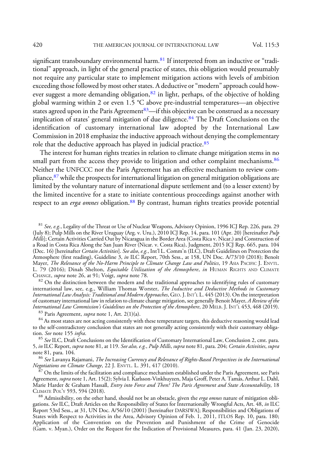significant transboundary environmental harm. $81$  If interpreted from an inductive or "traditional" approach, in light of the general practice of states, this obligation would presumably not require any particular state to implement mitigation actions with levels of ambition exceeding those followed by most other states. A deductive or "modern" approach could however suggest a more demanding obligation,<sup>82</sup> in light, perhaps, of the objective of holding global warming within 2 or even 1.5 °C above pre-industrial temperatures—an objective states agreed upon in the Paris Agreement<sup>83</sup>—if this objective can be construed as a necessary implication of states' general mitigation of due diligence.<sup>84</sup> The Draft Conclusions on the identification of customary international law adopted by the International Law Commission in 2018 emphasize the inductive approach without denying the complementary role that the deductive approach has played in judicial practice.<sup>85</sup>

The interest for human rights treaties in relation to climate change mitigation stems in no small part from the access they provide to litigation and other complaint mechanisms.<sup>86</sup> Neither the UNFCCC nor the Paris Agreement has an effective mechanism to review compliance,<sup>87</sup> while the prospects for international litigation on general mitigation obligations are limited by the voluntary nature of international dispute settlement and (to a lesser extent) by the limited incentive for a state to initiate contentious proceedings against another with respect to an erga omnes obligation.<sup>88</sup> By contrast, human rights treaties provide potential

<sup>81</sup> See, e.g., Legality of the Threat or Use of Nuclear Weapons, Advisory Opinion, 1996 ICJ Rep. 226, para. 29 (July 8); Pulp Mills on the River Uruguay (Arg. v. Uru.), 2010 ICJ Rep. 14, para. 101 (Apr. 20) [hereinafter Pulp Mills]; Certain Activities Carried Out by Nicaragua in the Border Area (Costa Rica v. Nicar.) and Construction of a Road in Costa Rica Along the San Juan River (Nicar. v. Costa Rica), Judgment, 2015 ICJ Rep. 665, para. 104 (Dec. 16) [hereinafter Certain Activities]. See also, e.g., Int'l L. Comm'n (ILC), Draft Guidelines on Protection the Atmosphere (first reading), Guideline 3, in ILC Report, 70th Sess., at 158, UN Doc. A/73/10 (2018); Benoît Mayer, The Relevance of the No-Harm Principle to Climate Change Law and Politics, 19 ASIA PACIFIC J. ENVTL. L. 79 (2016); Dinah Shelton, *Equitable Utilization of the Atmosphere*, *in* HUMAN RIGHTS AND CLIMATE CHANGE, *supra* note 26, at 91; Voigt, *supra* note 78.

 $82$  On the distinction between the modern and the traditional approaches to identifying rules of customary international law, see, e.g., William Thomas Worster, The Inductive and Deductive Methods in Customary International Law Analysis: Traditional and Modern Approaches, GEO. J. INT'L L. 445 (2013). On the interpretation of customary international law in relation to climate change mitigation, see generally Benoit Mayer, A Review of the<br>International Law Commission's Guidelines on the Protection of the Atmosphere, 20 MELB. J. INT'L 453, 468

<sup>83</sup> Paris Agreement, *supra* note 1, Art. 2(1)(a).<br><sup>84</sup> As most states are not acting consistently with these temperature targets, this deductive reasoning would lead to the self-contradictory conclusion that states are not generally acting consistently with their customary obliga-<br>tion. See note 155 infra.

<sup>85</sup> See ILC, Draft Conclusions on the Identification of Customary International Law, Conclusion 2, cmt. para. 5, in ILC Report, supra note 81, at 119. See also, e.g., Pulp Mills, supra note 81, para. 204; Certain Activities, supra note 81, para. 104.

<sup>86</sup> See Lavanya Rajamani, *The Increasing Currency and Relevance of Rights-Based Perspectives in the International*<br>Negotiations on Climate Change, 22 J. ENVTL. L. 391, 417 (2010).

*Negotiations on Climate Change*, 22 J. ENVTL. L. 391, 417 (2010).<br><sup>87</sup> On the limits of the facilitation and compliance mechanism established under the Paris Agreement, see Paris Agreement, *supra* note 1, Art. 15(2); Sylvia I. Karlsson-Vinkhuyzen, Maja Groff, Peter A. Tamás, Arthur L. Dahl, Marie Harder & Graham Hassall, *Entry into Force and Then? The Paris Agreement and State Accountability*, 18<br>CLIMATE POL'Y 593, 594 (2018).

<sup>88</sup> Admissibility, on the other hand, should not be an obstacle, given the erga omnes nature of mitigation obligations. See ILC, Draft Articles on the Responsibility of States for Internationally Wrongful Acts, Art. 48, in ILC Report 53rd Sess., at 31, UN Doc. A/56/10 (2001) [hereinafter DARSIWA]; Responsibilities and Obligations of States with Respect to Activities in the Area, Advisory Opinion of Feb. 1, 2011, ITLOS Rep. 10, para. 180; Application of the Convention on the Prevention and Punishment of the Crime of Genocide (Gam. v. Myan.), Order on the Request for the Indication of Provisional Measures, para. 41 (Jan. 23, 2020),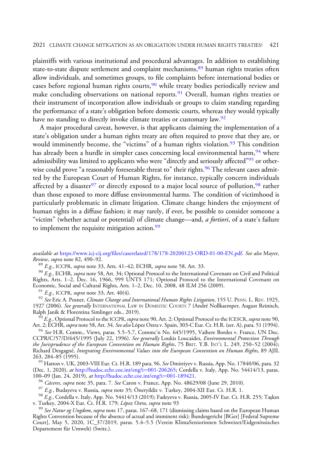plaintiffs with various institutional and procedural advantages. In addition to establishing state-to-state dispute settlement and complaint mechanisms,<sup>89</sup> human rights treaties often allow individuals, and sometimes groups, to file complaints before international bodies or cases before regional human rights courts,  $90$  while treaty bodies periodically review and make concluding observations on national reports.<sup>91</sup> Overall, human rights treaties or their instrument of incorporation allow individuals or groups to claim standing regarding the performance of a state's obligation before domestic courts, whereas they would typically have no standing to directly invoke climate treaties or customary law.<sup>92</sup>

A major procedural caveat, however, is that applicants claiming the implementation of a state's obligation under a human rights treaty are often required to prove that they are, or would imminently become, the "victims" of a human rights violation.<sup>93</sup> This condition has already been a hurdle in simpler cases concerning local environmental harm,<sup>94</sup> where admissibility was limited to applicants who were "directly and seriously affected"<sup>95</sup> or otherwise could prove "a reasonably foreseeable threat to" their rights.<sup>96</sup> The relevant cases admitted by the European Court of Human Rights, for instance, typically concern individuals affected by a disaster<sup>97</sup> or directly exposed to a major local source of pollution,<sup>98</sup> rather than those exposed to more diffuse environmental harms. The condition of victimhood is particularly problematic in climate litigation. Climate change hinders the enjoyment of human rights in a diffuse fashion; it may rarely, if ever, be possible to consider someone a "victim" (whether actual or potential) of climate change—and, *a fortiori*, of a state's failure to implement the requisite mitigation action.<sup>99</sup>

<sup>89</sup> E.g., ICCPR, supra note 33, Arts. 41–42; ECHR, supra note 58, Art. 33. 90 E.g., ECHR, supra note 58, Art. 34; Optional Protocol to the International Covenant on Civil and Political Rights, Arts. 1–2, Dec. 16, 1966, 999 UNTS 171; Optional Protocol to the International Covenant on<br>Economic, Social and Cultural Rights, Arts. 1–2, Dec. 10, 2008, 48 ILM 256 (2009).

<sup>91</sup> E.g., ICCPR, supra note 33, Art. 40(4).<br><sup>92</sup> See Eric A. Posner, *Climate Change and International Human Rights Litigation*, 155 U. PENN. L. REV. 1925, 1927 (2006). *See generally* INTERNATIONAL LAW IN DOMESTIC COURTS 7 (André Nollkaemper, August Reinisch,<br>Ralph Janik & Florentina Simlinger eds., 2019).

 $^{93}$  E.g., Optional Protocol to the ICCPR, supra note 90, Art. 2; Optional Protocol to the ICESCR, supra note 90, Art. 2; ECHR, supra note 58, Art. 34. See also López Ostra v. Spain, 303-C Eur. Ct. H.R. (ser. A), para. 51 (1994).

<sup>94</sup> See H.R. Comm., Views, paras. 5.5–5.7, Commc'n No. 645/1995, Vaihere Bordes v. France, UN Doc. CCPR/C/57/D/645/1995 (July 22, 1996). See generally Loukis Loucaides, Environmental Protection Through the Jurisprudence of the European Convention on Human Rights, 75 BRIT. Y.B. INT'<sup>L</sup> L. 249, 250–52 (2004); Richard Desgagné, Integrating Environmental Values into the European Convention on Human Rights, 89 AJIL

263, 284–85 (1995).<br><sup>95</sup> Hatton v. UK, 2003-VIII Eur. Ct. H.R. 189 para. 96. *See* Dmitriyev v. Russia, App. No. 17840/06, para. 32 (Dec. 1, 2020), *at* [http://hudoc.echr.coe.int/eng?i](http://hudoc.echr.coe.int/eng?i=001-206265)=[001-206265;](http://hudoc.echr.coe.int/eng?i=001-206265) Cordella v. Italy, App. No. 54414/13, paras.<br>100–09 (Jan. 24, 2019), *at* http://hudoc.echr.coe.int/eng?i=001-189421.

<sup>96</sup> Cáceres, supra note 35, para. 7. See Caron v. France, App. No. 48629/08 (June 29, 2010).<br><sup>97</sup> E.g., Budayeva v. Russia, *supra* note 35; Öneryildiz v. Turkey, 2004-XII Eur. Ct. H.R. 1.<br><sup>98</sup> E.g., Cordella v. Italy, A

<sup>99</sup> See Natur og Ungdom, supra note 17, paras. 167–68, 171 (dismissing claims based on the European Human Rights Convention because of the absence of actual and imminent risk); Bundesgericht [BGer] [Federal Supreme Court], May 5, 2020, 1C\_37/2019, paras. 5.4–5.5 (Verein KlimaSeniorinnen Schweizet/Eidgenössisches Departement für Umwelt) (Switz.).

available at [https:/](https://www.icj-cij.org/files/caserelated/178/178-20200123-ORD-01-00-EN.pdf)/www.icj-cij.org/fi[les/caserelated/178/178-20200123-ORD-01-00-EN.pdf](https://www.icj-cij.org/files/caserelated/178/178-20200123-ORD-01-00-EN.pdf). See also Mayer, Review, supra note 82, 490-92.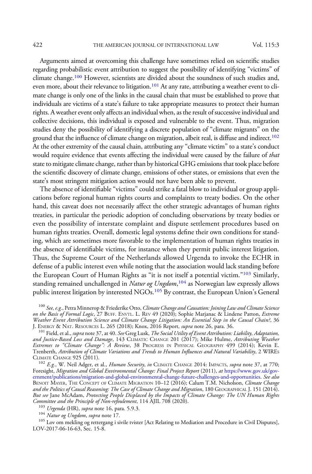Arguments aimed at overcoming this challenge have sometimes relied on scientific studies regarding probabilistic event attribution to suggest the possibility of identifying "victims" of climate change.100 However, scientists are divided about the soundness of such studies and, even more, about their relevance to litigation.<sup>101</sup> At any rate, attributing a weather event to climate change is only one of the links in the causal chain that must be established to prove that individuals are victims of a state's failure to take appropriate measures to protect their human rights. A weather event only affects an individual when, as the result of successive individual and collective decisions, this individual is exposed and vulnerable to the event. Thus, migration studies deny the possibility of identifying a discrete population of "climate migrants" on the ground that the influence of climate change on migration, albeit real, is diffuse and indirect.102 At the other extremity of the causal chain, attributing any "climate victim" to a state's conduct would require evidence that events affecting the individual were caused by the failure of that state to mitigate climate change, rather than by historical GHG emissions that took place before the scientific discovery of climate change, emissions of other states, or emissions that even the state's most stringent mitigation action would not have been able to prevent.

The absence of identifiable "victims" could strike a fatal blow to individual or group applications before regional human rights courts and complaints to treaty bodies. On the other hand, this caveat does not necessarily affect the other strategic advantages of human rights treaties, in particular the periodic adoption of concluding observations by treaty bodies or even the possibility of interstate complaint and dispute settlement procedures based on human rights treaties. Overall, domestic legal systems define their own conditions for standing, which are sometimes more favorable to the implementation of human rights treaties in the absence of identifiable victims, for instance when they permit public interest litigation. Thus, the Supreme Court of the Netherlands allowed Urgenda to invoke the ECHR in defense of a public interest even while noting that the association would lack standing before the European Court of Human Rights as "it is not itself a potential victim."<sup>103</sup> Similarly, standing remained unchallenged in *Natur og Ungdom*,<sup>104</sup> as Norwegian law expressly allows public interest litigation by interested NGOs.<sup>105</sup> By contrast, the European Union's General

<sup>100</sup> See, e.g., Petra Minnerop & Friederike Otto, Climate Change and Causation: Joining Law and Climate Science on the Basis of Formal Logic, 27 BUFF. ENVTL. L. REV 49 (2020); Sophie Marjanac & Lindene Patton, Extreme Weather Event Attribution Science and Climate Change Litigation: An Essential Step in the Causal Chain?, 36<br>J. ENERGY & NAT. RESOURCES L. 265 (2018); Knox, 2016 Report, supra note 26, para. 36. J. ENERGY & NAT. RESOURCES L. 265 (2018); Knox, 2016 Report, *supra* note 26, para. 36.<br><sup>101</sup> Field, et al., *supra* note 37, at 40. *See* Greg Lusk, *The Social Utility of Event Attribution: Liability, Adaptation,* 

and Justice-Based Loss and Damage, 143 CLIMATIC CHANGE 201 (2017); Mike Hulme, Attributing Weather Extremes to "Climate Change": A Review, 38 PROGRESS IN PHYSICAL GEOGRAPHY 499 (2014); Kevin E. Trenberth, Attribution of Climate Variations and Trends to Human Influences and Natural Variability, 2 WIRES

<sup>102</sup> E.g., W. Neil Adger, et al., *Human Security, in* CLIMATE CHANGE 2014: IMPACTS, *supra* note 37, at 770; Foresight, Migration and Global Environmental Change: Final Project Report (2011), at [https://www.gov.uk/gov](https://www.gov.uk/government/publications/migration-and-global-environmental-change-future-challenges-and-opportunities)[ernment/publications/migration-and-global-environmental-change-future-challenges-and-opportunities.](https://www.gov.uk/government/publications/migration-and-global-environmental-change-future-challenges-and-opportunities) See also BENOIT MAYER, THE CONCEPT OF CLIMATE MIGRATION 10-12 (2016); Calum T.M. Nicholson, Climate Change and the Politics of Causal Reasoning: The Case of Climate Change and Migration, 180 GEOGRAPHICAL J. 151 (2014). But see Jane McAdam, Protecting People Displaced by the Impacts of Climate Change: The UN Human Rights Committee and the Principle of Non-refoulement, 114 AJIL 708 (2020).<br><sup>103</sup> Urgenda (HR), supra note 16, para. 5.9.3.<br><sup>104</sup> Natur og Ungdom, supra note 17.<br><sup>105</sup> Lov om mekling og rettergang i sivile tvister [Act Relating t

LOV-2017-06-16-63, Sec. 15-8.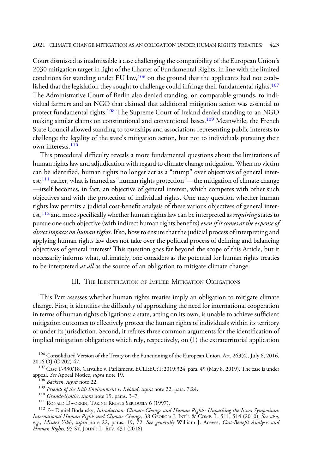Court dismissed as inadmissible a case challenging the compatibility of the European Union's 2030 mitigation target in light of the Charter of Fundamental Rights, in line with the limited conditions for standing under EU law, $106$  on the ground that the applicants had not established that the legislation they sought to challenge could infringe their fundamental rights.<sup>107</sup> The Administrative Court of Berlin also denied standing, on comparable grounds, to individual farmers and an NGO that claimed that additional mitigation action was essential to protect fundamental rights.<sup>108</sup> The Supreme Court of Ireland denied standing to an NGO making similar claims on constitutional and conventional bases.<sup>109</sup> Meanwhile, the French State Council allowed standing to townships and associations representing public interests to challenge the legality of the state's mitigation action, but not to individuals pursuing their own interests.<sup>110</sup>

This procedural difficulty reveals a more fundamental questions about the limitations of human rights law and adjudication with regard to climate change mitigation. When no victim can be identified, human rights no longer act as a "trump" over objectives of general interest;<sup>111</sup> rather, what is framed as "human rights protection"—the mitigation of climate change —itself becomes, in fact, an objective of general interest, which competes with other such objectives and with the protection of individual rights. One may question whether human rights law permits a judicial cost-benefit analysis of these various objectives of general interest,  $^{112}$  and more specifically whether human rights law can be interpreted as *requiring* states to pursue one such objective (with indirect human rights benefits) even if it comes at the expense of direct impacts on human rights. If so, how to ensure that the judicial process of interpreting and applying human rights law does not take over the political process of defining and balancing objectives of general interest? This question goes far beyond the scope of this Article, but it necessarily informs what, ultimately, one considers as the potential for human rights treaties to be interpreted *at all* as the source of an obligation to mitigate climate change.

# III. THE IDENTIFICATION OF IMPLIED MITIGATION OBLIGATIONS

This Part assesses whether human rights treaties imply an obligation to mitigate climate change. First, it identifies the difficulty of approaching the need for international cooperation in terms of human rights obligations: a state, acting on its own, is unable to achieve sufficient mitigation outcomes to effectively protect the human rights of individuals within its territory or under its jurisdiction. Second, it refutes three common arguments for the identification of implied mitigation obligations which rely, respectively, on (1) the extraterritorial application

- 
- 

International Human Rights and Climate Change, 38 GEORGIA J. INT'<sup>L</sup> & COMP. L. 511, 514 (2010). See also, e.g., Misdzi Yikh, supra note 22, paras. 19, 72. See generally William J. Aceves, Cost-Benefit Analysis and Human Rights, 95 ST. JOHN'<sup>S</sup> L. REV. 431 (2018).

<sup>&</sup>lt;sup>106</sup> Consolidated Version of the Treaty on the Functioning of the European Union, Art. 263(4), July 6, 2016, 2016 OJ (C 202) 47.

<sup>&</sup>lt;sup>107</sup> Case T-330/18, Carvalho v. Parliament, ECLI:EU:T:2019:324, para. 49 (May 8, 2019). The case is under appeal. *See* Appeal Notice, *supra* note 19. appeal. *See* Appeal Notice, *supra* note 19.<br><sup>108</sup> Backsen, supra note 22.<br><sup>109</sup> Friends of the Irish Environment v. Ireland, supra note 22, para. 7.24.<br><sup>110</sup> Grande-Synthe, supra note 19, paras. 3–7.<br><sup>111</sup> RONALD DWORKIN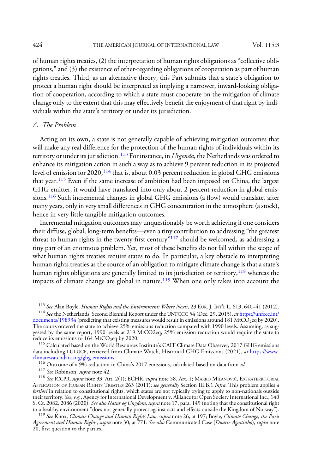of human rights treaties, (2) the interpretation of human rights obligations as "collective obligations," and (3) the existence of other-regarding obligations of cooperation as part of human rights treaties. Third, as an alternative theory, this Part submits that a state's obligation to protect a human right should be interpreted as implying a narrower, inward-looking obligation of cooperation, according to which a state must cooperate on the mitigation of climate change only to the extent that this may effectively benefit the enjoyment of that right by individuals within the state's territory or under its jurisdiction.

### A. The Problem

Acting on its own, a state is not generally capable of achieving mitigation outcomes that will make any real difference for the protection of the human rights of individuals within its territory or under its jurisdiction.<sup>113</sup> For instance, in *Urgenda*, the Netherlands was ordered to enhance its mitigation action in such a way as to achieve 9 percent reduction in its projected level of emission for  $2020$ ,  $^{114}$  that is, about 0.03 percent reduction in global GHG emissions that year.<sup>115</sup> Even if the same increase of ambition had been imposed on China, the largest GHG emitter, it would have translated into only about 2 percent reduction in global emissions.<sup>116</sup> Such incremental changes in global GHG emissions (a flow) would translate, after many years, only in very small differences in GHG concentration in the atmosphere (a stock), hence in very little tangible mitigation outcomes.

Incremental mitigation outcomes may unquestionably be worth achieving if one considers their diffuse, global, long-term benefits—even a tiny contribution to addressing "the greatest threat to human rights in the twenty-first century"<sup>117</sup> should be welcomed, as addressing a tiny part of an enormous problem. Yet, most of these benefits do not fall within the scope of what human rights treaties require states to do. In particular, a key obstacle to interpreting human rights treaties as the source of an obligation to mitigate climate change is that a state's human rights obligations are generally limited to its jurisdiction or territory,<sup>118</sup> whereas the impacts of climate change are global in nature.<sup>119</sup> When one only takes into account the

<sup>115</sup> Calculated based on the World Resources Institute's CAIT Climate Data Observer, 2017 GHG emissions data including LULUCF, retrieved from Climate Watch, Historical GHG Emissions (2021), *at* [https://www.](https://www.climatewatchdata.org/ghg-emissions)<br>climatewatchdata.org/ghg-emissions.

<sup>116</sup> Outcome of a 9% reduction in China's 2017 emissions, calculated based on data from *id.*<br><sup>117</sup> See Robinson, *supra* note 42.<br><sup>118</sup> See ICCPR, *supra* note 33, Art. 2(1); ECHR, *supra* note 58, Art. 1; MARKO MILANOV APPLICATION OF HUMAN RIGHTS TREATIES 263 (2011); see generally Section III.B.1 infra. This problem applies a fortiori in relation to constitutional rights, which states are not typically trying to apply to non-nationals outside their territory. *See, e.g.*, Agency for International Development v. Alliance for Open Society International Inc., 140 S. Ct. 2082, 2086 (2020). See also Natur og Ungdom, supra note 17, para. 149 (noting that the constitutional right to a healthy environment "does not generally protect against acts and effects outside the Kingdom of Norway

<sup>119</sup> See Knox, Climate Change and Human Rights Law, supra note 26, at 197; Boyle, Climate Change, the Paris Agreement and Human Rights, supra note 30, at 771. See also Communicated Case (Duarte Agostinho), supra note 20, first question to the parties.

<sup>&</sup>lt;sup>113</sup> See Alan Boyle, *Human Rights and the Environment: Where Next?*, 23 EUR. J. INT'L L. 613, 640–41 (2012). <sup>114</sup> See the Netherlands' Second Biennial Report under the UNFCCC 54 (Dec. 29, 2015), *at* https://unfccc.int

[documents/198934](https://unfccc.int/documents/198934) (predicting that existing measures would result in emissions around 181 MtCO<sub>2</sub>eq by 2020). The courts ordered the state to achieve 25% emissions reduction compared with 1990 levels. Assuming, as suggested by the same report, 1990 levels at 219 MtCO2eq, 25% emission reduction would require the state to reduce its emissions to 164 MtCO<sub>2</sub>eq by 2020.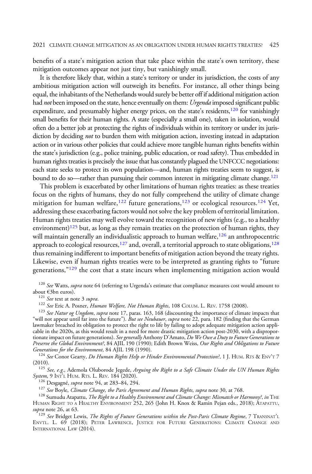benefits of a state's mitigation action that take place within the state's own territory, these mitigation outcomes appear not just tiny, but vanishingly small.

It is therefore likely that, within a state's territory or under its jurisdiction, the costs of any ambitious mitigation action will outweigh its benefits. For instance, all other things being equal, the inhabitants of the Netherlands would surely be better off if additional mitigation action had not been imposed on the state, hence eventually on them: Urgenda imposed significant public expenditure, and presumably higher energy prices, on the state's residents, $120$  for vanishingly small benefits for their human rights. A state (especially a small one), taken in isolation, would often do a better job at protecting the rights of individuals within its territory or under its jurisdiction by deciding *not* to burden them with mitigation action, investing instead in adaptation action or in various other policies that could achieve more tangible human rights benefits within the state's jurisdiction (e.g., police training, public education, or road safety). Thus embedded in human rights treaties is precisely the issue that has constantly plagued the UNFCCC negotiations: each state seeks to protect its own population—and, human rights treaties seem to suggest, is bound to do so—rather than pursuing their common interest in mitigating climate change.<sup>121</sup>

This problem is exacerbated by other limitations of human rights treaties: as these treaties focus on the rights of humans, they do not fully comprehend the utility of climate change mitigation for human welfare,<sup>122</sup> future generations,<sup>123</sup> or ecological resources.<sup>124</sup> Yet, addressing these exacerbating factors would not solve the key problem of territorial limitation. Human rights treaties may well evolve toward the recognition of new rights (e.g., to a healthy environment)<sup>125</sup> but, as long as they remain treaties on the protection of human rights, they will maintain generally an individualistic approach to human welfare, $126$  an anthropocentric approach to ecological resources, $127$  and, overall, a territorial approach to state obligations,  $128$ thus remaining indifferent to important benefits of mitigation action beyond the treaty rights. Likewise, even if human rights treaties were to be interpreted as granting rights to "future generations," $129$  the cost that a state incurs when implementing mitigation action would

<sup>120</sup> See Watts, supra note 64 (referring to Urgenda's estimate that compliance measures cost would amount to about  $\epsilon$ 3bn euros). about €3bn euros).<br><sup>121</sup> *See* text at note 3 *supra.*<br><sup>122</sup> *See* Eric A. Posner, *Human Welfare, Not Human Rights*, 108 COLUM. L. REV. 1758 (2008).<br><sup>123</sup> *See Natur og Ungdom, supra* note 17, paras. 163, 168 (discountin

"will not appear until far into the future"). *But see Neubauer, supra* note 22, para. 182 (finding that the German lawmaker breached its obligation to protect the right to life by failing to adopt adequate mitigation action applicable in the 2020s, as this would result in a need for more drastic mitigation action post-2030, with a disproportionate impact on future generations). See generally Anthony D'Amato, Do We Owe a Duty to Future Generations to Preserve the Global Environment?, 84 AJIL 190 (1990); Edith Brown Weiss, Our Rights and Obligations to Future<br>Generations for the Environment, 84 AJIL 198 (1990).

<sup>124</sup> See Conor Gearty, Do Human Rights Help or Hinder Environmental Protection?, 1 J. HUM. RTS & ENV'T 7

(2010).<br><sup>125</sup> See, e.g., Ademola Oluborode Jegede, *Arguing the Right to a Safe Climate Under the UN Human Rights*<br>System, 9 Int<sup>3</sup>L HUM. RTS. L. REV. 184 (2020).

<sup>126</sup> Desgagné, *supra* note 94, at 283–84, 294.<br><sup>127</sup> See Boyle, *Climate Change, the Paris Agreement and Human Rights, supra* note 30, at 768.<br><sup>128</sup> Sumudu Atapattu, *The Right to a Healthy Environment and Climate Change* HUMAN RIGHT TO A HEALTHY ENVIRONMENT 252, 265 (John H. Knox & Ramin Pejan eds., 2018); ATAPATTU, supra note 26, at 63.

 $129$  See Bridget Lewis, The Rights of Future Generations within the Post-Paris Climate Regime, 7 TRANSNAT'L ENVTL. L. 69 (2018); PETER LAWRENCE, JUSTICE FOR FUTURE GENERATIONS: CLIMATE CHANGE AND INTERNATIONAL LAW (2014).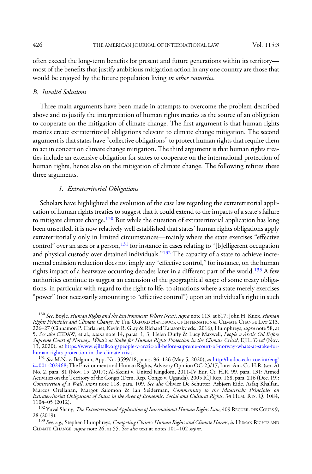often exceed the long-term benefits for present and future generations within its territory most of the benefits that justify ambitious mitigation action in any one country are those that would be enjoyed by the future population living in other countries.

# B. Invalid Solutions

Three main arguments have been made in attempts to overcome the problem described above and to justify the interpretation of human rights treaties as the source of an obligation to cooperate on the mitigation of climate change. The first argument is that human rights treaties create extraterritorial obligations relevant to climate change mitigation. The second argument is that states have"collective obligations"to protect human rights that require them to act in concert on climate change mitigation. The third argument is that human rights treaties include an extensive obligation for states to cooperate on the international protection of human rights, hence also on the mitigation of climate change. The following refutes these three arguments.

# 1. Extraterritorial Obligations

Scholars have highlighted the evolution of the case law regarding the extraterritorial application of human rights treaties to suggest that it could extend to the impacts of a state's failure to mitigate climate change.<sup>130</sup> But while the question of extraterritorial application has long been unsettled, it is now relatively well established that states' human rights obligations apply extraterritorially only in limited circumstances—mainly where the state exercises "effective control" over an area or a person,  $131$  for instance in cases relating to "[b]elligerent occupation and physical custody over detained individuals."<sup>132</sup> The capacity of a state to achieve incremental emission reduction does not imply any "effective control,"for instance, on the human rights impact of a heatwave occurring decades later in a different part of the world.<sup>133</sup> A few authorities continue to suggest an extension of the geographical scope of some treaty obligations, in particular with regard to the right to life, to situations where a state merely exercises "power" (not necessarily amounting to "effective control") upon an individual's right in such

<sup>&</sup>lt;sup>130</sup> See, Boyle, Human Rights and the Environment: Where Next?, supra note 113, at 617; John H. Knox, Human Rights Principles and Climate Change, in THE OXFORD HANDBOOK OF INTERNATIONAL CLIMATE CHANGE LAW 213, 226–27 (Cinnamon P. Carlarnet, Kevin R. Gray & Richard Tarasofsky eds., 2016); Humphreys, *supra* note 58, at 5. *See also* CEDAW, et al., *supra* note 14, paras. 1, 3; Helen Duffy & Lucy Maxwell, *People v Arctic Oil Before* Supreme Court of Norway: What's at Stake for Human Rights Protection in the Climate Crisis?, EJIL:TALK! (Nov. 13, 2020), at [https://www.ejiltalk.org/people-v-arctic-oil-before-supreme-court-of-norway-whats-at-stake-for-](https://www.ejiltalk.org/people-v-arctic-oil-before-supreme-court-of-norway-whats-at-stake-for-human-rights-protection-in-the-climate-crisis)

<sup>&</sup>lt;sup>131</sup> See M.N. v. Belgium, App. No. 3599/18, paras. 96–126 (May 5, 2020), at [http://hudoc.echr.coe.int/eng?](http://hudoc.echr.coe.int/eng?i=001-202468) [i](http://hudoc.echr.coe.int/eng?i=001-202468)=[001-202468](http://hudoc.echr.coe.int/eng?i=001-202468); The Environment and Human Rights, Advisory Opinion OC-23/17, Inter-Am. Ct. H.R. (ser. A) No. 2, para. 81 (Nov. 15, 2017); Al-Skeini v. United Kingdom, 2011-IV Eur. Ct. H.R. 99, para. 131; Armed Activities on the Territory of the Congo (Dem. Rep. Congo v. Uganda), 2005 ICJ Rep. 168, para. 216 (Dec. 19); Construction of a Wall, supra note 118, para. 109. See also Olivier De Schutter, Asbjørn Eide, Asfaq Khalfan, Marcos Orellanan, Margot Salomon & Ian Seiderman, Commentary to the Maastricht Principles on Extraterritorial Obligations of States in the Area of Economic, Social and Cultural Rights, 34 HUM. RTS. Q. 1084,<br>1104–05 (2012).

 $^{132}$  Yuval Shany, *The Extraterritorial Application of International Human Rights Law*, 409 RECUEIL DES COURS 9, 28 (2019).

<sup>&</sup>lt;sup>133</sup> See, e.g., Stephen Humphreys, *Competing Claims: Human Rights and Climate Harms, in* HUMAN RIGHTS AND CLIMATE CHANGE, supra note 26, at 55. See also text at notes 101-102 supra.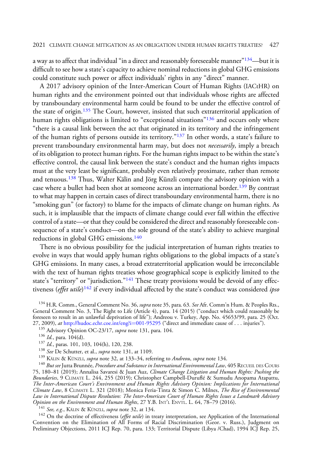a way as to affect that individual "in a direct and reasonably foreseeable manner"<sup>134</sup>—but it is difficult to see how a state's capacity to achieve nominal reductions in global GHG emissions could constitute such power or affect individuals' rights in any "direct" manner.

A 2017 advisory opinion of the Inter-American Court of Human Rights (IACtHR) on human rights and the environment pointed out that individuals whose rights are affected by transboundary environmental harm could be found to be under the effective control of the state of origin.<sup>135</sup> The Court, however, insisted that such extraterritorial application of human rights obligations is limited to "exceptional situations"<sup>136</sup> and occurs only where "there is a causal link between the act that originated in its territory and the infringement of the human rights of persons outside its territory."<sup>137</sup> In other words, a state's failure to prevent transboundary environmental harm may, but does not *necessarily*, imply a breach of its obligation to protect human rights. For the human rights impact to be within the state's effective control, the causal link between the state's conduct and the human rights impacts must at the very least be significant, probably even relatively proximate, rather than remote and tenuous.<sup>138</sup> Thus, Walter Kälin and Jörg Künzli compare the advisory opinion with a case where a bullet had been shot at someone across an international border.<sup>139</sup> By contrast to what may happen in certain cases of direct transboundary environmental harm, there is no "smoking gun" (or factory) to blame for the impacts of climate change on human rights. As such, it is implausible that the impacts of climate change could ever fall within the effective control of a state—or that they could be considered the direct and reasonably foreseeable consequence of a state's conduct—on the sole ground of the state's ability to achieve marginal reductions in global GHG emissions.<sup>140</sup>

There is no obvious possibility for the judicial interpretation of human rights treaties to evolve in ways that would apply human rights obligations to the global impacts of a state's GHG emissions. In many cases, a broad extraterritorial application would be irreconcilable with the text of human rights treaties whose geographical scope is explicitly limited to the state's "territory" or "jurisdiction."<sup>141</sup> These treaty provisions would be devoid of any effectiveness (effet utile)<sup>142</sup> if every individual affected by the state's conduct was considered ipso

<sup>134</sup> H.R. Comm., General Comment No. 36, *supra* note 35, para. 63. See Afr. Comm'n Hum. & Peoples Rts., General Comment No. 3, The Right to Life (Article 4), para. 14 (2015) ("conduct which could reasonably be foreseen to result in an unlawful deprivation of life"); Andreou v. Turkey, App. No. 45653/99, para. 25 (Oct. 27, 2009), *at* [http://hudoc.echr.coe.int/eng?i](http://hudoc.echr.coe.int/eng?i=001-95295)=[001-95295](http://hudoc.echr.coe.int/eng?i=001-95295) ("direct and immediate cause of . . . injuries").<br><sup>135</sup> Advisory Opinion OC-23/17, *supra* note 131, para. 104.<br><sup>136</sup> Id., para. 104(d).<br><sup>136</sup> Id., paras. 101, 103

75, 180–81 (2019); Annalisa Savaresi & Juan Auz, Climate Change Litigation and Human Rights: Pushing the Boundaries, 9 CLIMATE L. 244, 255 (2019); Christopher Campbell-Duruflé & Sumudu Anopama Atapattu, The Inter-American Court's Environment and Human Rights Advisory Opinion: Implications for International Climate Law, 8 CLIMATE L. 321 (2018); Monica Feria-Tinta & Simon C. Milnes, The Rise of Environmental Law in International Dispute Resolution: The Inter-American Court of Human Rights Issues a Landmark Advisory Opinion on the Environment and Human Rights, 27 Y.B. INT'L ENVIL. L. 64, 78–79 (2016).<br><sup>141</sup> See, e.g., KÄLIN & KÜNZLI, supra note 32, at 134.<br><sup>142</sup> On the doctrine of effectiveness (*effet utile*) in treaty interpretation

Convention on the Elimination of All Forms of Racial Discrimination (Geor. v. Russ.), Judgment on Preliminary Objections, 2011 ICJ Rep. 70, para. 133; Territorial Dispute (Libya /Chad), 1994 ICJ Rep. 25,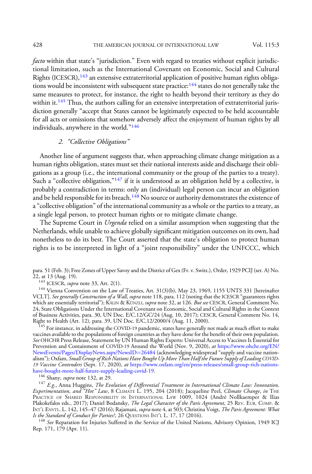facto within that state's "jurisdiction." Even with regard to treaties without explicit jurisdictional limitation, such as the International Covenant on Economic, Social and Cultural Rights (ICESCR),<sup>143</sup> an extensive extraterritorial application of positive human rights obligations would be inconsistent with subsequent state practice: $144$  states do not generally take the same measures to protect, for instance, the right to health beyond their territory as they do within it.<sup>145</sup> Thus, the authors calling for an extensive interpretation of extraterritorial jurisdiction generally "accept that States cannot be legitimately expected to be held accountable for all acts or omissions that somehow adversely affect the enjoyment of human rights by all individuals, anywhere in the world."<sup>146</sup>

# 2. "Collective Obligations"

Another line of argument suggests that, when approaching climate change mitigation as a human rights obligation, states must set their national interests aside and discharge their obligations as a group (i.e., the international community or the group of the parties to a treaty). Such a "collective obligation," $147$  if it is understood as an obligation held by a collective, is probably a contradiction in terms: only an (individual) legal person can incur an obligation and be held responsible for its breach.<sup>148</sup> No source or authority demonstrates the existence of a"collective obligation" of the international community as a whole or the parties to a treaty, as a single legal person, to protect human rights or to mitigate climate change.

The Supreme Court in *Urgenda* relied on a similar assumption when suggesting that the Netherlands, while unable to achieve globally significant mitigation outcomes on its own, had nonetheless to do its best. The Court asserted that the state's obligation to protect human rights is to be interpreted in light of a "joint responsibility" under the UNFCCC, which

para. 51 (Feb. 3); Free Zones of Upper Savoy and the District of Gex (Fr. v. Switz.), Order, 1929 PCIJ (ser. A) No. 22, at 13 (Aug. 19).<br><sup>143</sup> ICESCR, *supra* note 33, Art. 2(1).

 $144$  Vienna Convention on the Law of Treaties, Art. 31(3)(b), May 23, 1969, 1155 UNTS 331 [hereinafter VCLT]. *See generally Construction of a Wall, supra* note 118, para. 112 (noting that the ICESCR "guarantees rights which are essentially territorial"); KÄLIN & KÜNZLI, *supra* note 32, at 126. *But see* CESCR, General Comment No. 24, State Obligations Under the International Covenant on Economic, Social and Cultural Rights in the Context of Business Activities, para. 30, UN Doc. E/C.12/GC/24 (Aug. 10, 2017); CESCR, General Comment No. 14, Right to Health (Art. 12), para. 39, UN Doc. E/C.12/2000/4 (Aug. 11, 2000).

 $^{145}$  For instance, in addressing the COVID-19 pandemic, states have generally not made as much effort to make vaccines available to the populations of foreign countries as they have done for the benefit of their own population. See OHCHR Press Release, Statement by UN Human Rights Experts: Universal Access to Vaccines Is Essential for Prevention and Containment of COVID-19 Around the World (Nov. 9, 2020), at [https://www.ohchr.org/EN/](https://www.ohchr.org/EN/NewsEvents/Pages/DisplayNews.aspx?NewsID=26484) [NewsEvents/Pages/DisplayNews.aspx?NewsID](https://www.ohchr.org/EN/NewsEvents/Pages/DisplayNews.aspx?NewsID=26484)=[26484](https://www.ohchr.org/EN/NewsEvents/Pages/DisplayNews.aspx?NewsID=26484) (acknowledging widespread "supply and vaccine nationalism"); Oxfam, Small Group of Rich Nations Have Bought Up More Than Half the Future Supply of Leading COVID19 Vaccine Contenders (Sept. 17, 2020), at [https://www.oxfam.org/en/press-releases/small-group-rich-nations](https://www.oxfam.org/en/press-releases/small-group-rich-nations-have-bought-more-half-future-supply-leading-covid-19)[have-bought-more-half-future-supply-leading-covid-19.](https://www.oxfam.org/en/press-releases/small-group-rich-nations-have-bought-more-half-future-supply-leading-covid-19)<br><sup>146</sup> Shany, *supra* note 132, at 29.

 $^{147}$  E.g., Anna Huggins, *The Evolution of Differential Treatment in International Climate Law: Innovation,* Experimentation, and "Hot" Law, 8 CLIMATE L. 195, 204 (2018); Jacqueline Peel, Climate Change, in THE PRACTICE OF SHARED RESPONSIBILITY IN INTERNATIONAL LAW 1009, 1024 (André Nollkaemper & Ilias Plakokefalos eds., 2017); Daniel Bodansky, The Legal Character of the Paris Agreement, 25 REV. EUR. COMP. & INT'L ENVTL. L. 142, 145–47 (2016); Rajamani, *supra* note 4, at 503; Christina Voigt, *The Paris Agreement: What* Is the Standard of Conduct for Parties?, 26 QUESTIONS INT'L L. 17, 17 (2016).

<sup>148</sup> See Reparation for Injuries Suffered in the Service of the United Nations, Advisory Opinion, 1949 ICJ Rep. 171, 179 (Apr. 11).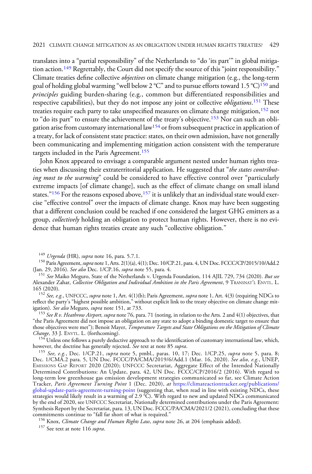translates into a "partial responsibility" of the Netherlands to "do 'its part'" in global mitigation action.<sup>149</sup> Regrettably, the Court did not specify the source of this "joint responsibility." Climate treaties define collective objectives on climate change mitigation (e.g., the long-term goal of holding global warming "well below 2 °C" and to pursue efforts toward 1.5 °C)<sup>150</sup> and principles guiding burden-sharing (e.g., common but differentiated responsibilities and respective capabilities), but they do not impose any joint or collective *obligations*.<sup>151</sup> These treaties require each party to take unspecified measures on climate change mitigation,<sup>152</sup> not to "do its part" to ensure the achievement of the treaty's objective.<sup>153</sup> Nor can such an obligation arise from customary international law<sup>154</sup> or from subsequent practice in application of a treaty, for lack of consistent state practice: states, on their own admission, have not generally been communicating and implementing mitigation action consistent with the temperature targets included in the Paris Agreement.<sup>155</sup>

John Knox appeared to envisage a comparable argument nested under human rights treaties when discussing their extraterritorial application. He suggested that "the states contributing most to the warming" could be considered to have effective control over "particularly extreme impacts [of climate change], such as the effect of climate change on small island states."<sup>156</sup> For the reasons exposed above,<sup>157</sup> it is unlikely that an individual state would exercise "effective control" over the impacts of climate change. Knox may have been suggesting that a different conclusion could be reached if one considered the largest GHG emitters as a group, *collectively* holding an obligation to protect human rights. However, there is no evidence that human rights treaties create any such "collective obligation."

<sup>153</sup> See R v. Heathrow Airport, supra note 76, para. 71 (noting, in relation to the Arts. 2 and 4(1) objectives, that "the Paris Agreement did not impose an obligation on any state to adopt a binding domestic target to ensure that those objectives were met"); Benoit Mayer, Temperature Targets and State Obligations on the Mitigation of Climate Change, 33 J. ENVTL. L. (forthcoming).

<sup>154</sup> Unless one follows a purely deductive approach to the identification of customary international law, which, however, the doctrine has generally rejected. *See* text at note 85 *supra*. however, the doctrine has generally rejected. *See* text at note 85 *supra*.<br><sup>155</sup> *See, e.g.*, Dec. 1/CP.21, *supra* note 5, pmbl., paras. 10, 17; Dec. 1/CP.25, *supra* note 5, para. 8;

Dec. 1/CMA.2 para. 5, UN Doc. FCCC/PA/CMA/2019/6/Add.1 (Mar. 16, 2020). *See also, e.g.*, UNEP, EMISSIONS GAP REPORT 2020 (2020); UNFCCC Secretariat, Aggregate Effect of the Intended Nationally Determined Contributions: An Update, para. 42, UN Doc. FCCC/CP/2016/2 (2016). With regard to long-term low greenhouse gas emission development strategies communicated so far, see Climate Action Tracker, Paris Agreement Turning Point 1 (Dec. 2020), at [https://climateactiontracker.org/publications/](https://climateactiontracker.org/publications/global-update-paris-agreement-turning-point) [global-update-paris-agreement-turning-point](https://climateactiontracker.org/publications/global-update-paris-agreement-turning-point) (suggesting that, when read in line with existing NDCs, these strategies would likely result in a warming of 2.9 °C). With regard to new and updated NDCs communicated by the end of 2020, see UNFCCC Secretariat, Nationally determined contributions under the Paris Agreement: Synthesis Report by the Secretariat, para. 13, UN Doc. FCCC/PA/CMA/2021/2 (2021), concluding that these

<sup>156</sup> Knox, *Climate Change and Human Rights Law, supra* note 26, at 204 (emphasis added). <sup>157</sup> See text at note 116 *supra*.

<sup>&</sup>lt;sup>149</sup> *Urgenda* (HR), *supra* note 16, para. 5.7.1.<br><sup>150</sup> Paris Agreement, *supra* note 1, Arts. 2(1)(a), 4(1); Dec. 10/CP.21, para. 4, UN Doc. FCCC/CP/2015/10/Add.2<br>(Jan. 29, 2016). *See also* Dec. 1/CP.16, *supra* note

<sup>&</sup>lt;sup>151</sup> See Maiko Meguro, State of the Netherlands v. Urgenda Foundation, 114 AJIL 729, 734 (2020). But see Alexander Zahar, Collective Obligation and Individual Ambition in the Paris Agreement, 9 TRANSNAT'L ENVTL. L.

<sup>165 (2020).&</sup>lt;br><sup>152</sup> *See, e.g.*, UNFCCC, *supra* note 1, Art. 4(1)(b); Paris Agreement, *supra* note 1, Art. 4(3) (requiring NDCs to reflect the party's "highest possible ambition," without explicit link to the treaty objective on climate change mit-<br>igation). *See also* Meguro, *supra* note 151, at 733.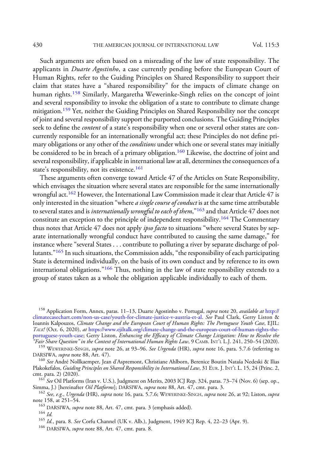430 THE AMERICAN JOURNAL OF INTERNATIONAL LAW Vol. 115:3

Such arguments are often based on a misreading of the law of state responsibility. The applicants in *Duarte Agostinho*, a case currently pending before the European Court of Human Rights, refer to the Guiding Principles on Shared Responsibility to support their claim that states have a "shared responsibility" for the impacts of climate change on human rights.<sup>158</sup> Similarly, Margaretha Wewerinke-Singh relies on the concept of joint and several responsibility to invoke the obligation of a state to contribute to climate change mitigation.159 Yet, neither the Guiding Principles on Shared Responsibility nor the concept of joint and several responsibility support the purported conclusions. The Guiding Principles seek to define the *content* of a state's responsibility when one or several other states are concurrently responsible for an internationally wrongful act; these Principles do not define primary obligations or any other of the *conditions* under which one or several states may initially be considered to be in breach of a primary obligation.<sup>160</sup> Likewise, the doctrine of joint and several responsibility, if applicable in international law at all, determines the consequences of a state's responsibility, not its existence.<sup>161</sup>

These arguments often converge toward Article 47 of the Articles on State Responsibility, which envisages the situation where several states are responsible for the same internationally wrongful act.<sup>162</sup> However, the International Law Commission made it clear that Article 47 is only interested in the situation "where *a single course of conduct* is at the same time attributable to several states and is internationally wrongful to each of them,"<sup>163</sup> and that Article 47 does not constitute an exception to the principle of independent responsibility.<sup>164</sup> The Commentary thus notes that Article 47 does not apply *ipso facto* to situations "where several States by separate internationally wrongful conduct have contributed to causing the same damage," for instance where "several States . . . contribute to polluting a river by separate discharge of pollutants."<sup>165</sup> In such situations, the Commission adds, "the responsibility of each participating State is determined individually, on the basis of its own conduct and by reference to its own international obligations."<sup>166</sup> Thus, nothing in the law of state responsibility extends to a group of states taken as a whole the obligation applicable individually to each of them.

<sup>158</sup> Application Form, Annex, paras. 11-13, Duarte Agostinho v. Portugal, supra note 20, available at [http://](http://climatecasechart.com/non-us-case/youth-for-climate-justice-v-austria-et-al) [climatecasechart.com/non-us-case/youth-for-climate-justice-v-austria-et-al.](http://climatecasechart.com/non-us-case/youth-for-climate-justice-v-austria-et-al) See Paul Clark, Gerry Liston & Ioannis Kalpouzos, Climate Change and the European Court of Human Rights: The Portuguese Youth Case, EJIL: TALK! (Oct. 6, 2020), at [https://www.ejiltalk.org/climate-change-and-the-european-court-of-human-rights-the](https://www.ejiltalk.org/climate-change-and-the-european-court-of-human-rights-the-portuguese-youth-case)[portuguese-youth-case;](https://www.ejiltalk.org/climate-change-and-the-european-court-of-human-rights-the-portuguese-youth-case) Gerry Liston, Enhancing the Efficacy of Climate Change Litigation: How to Resolve the

<sup>159</sup> WEWERINKE-SINGH, *supra* note 26, at 93–96. See Urgenda (HR), supra note 16, para. 5.7.6 (referring to DARSIWA, supra note 88, Art. 47).

<sup>160</sup> See André Nollkaemper, Jean d'Aspremont, Christiane Ahlborn, Berenice Boutin Nataša Nedeski & Ilias Plakokefalos, *Guiding Principles on Shared Responsibility in International Law*, 31 EUR. J. INT'L L. 15, 24 (Princ. 2, cmt. para. 2) (2020).

<sup>161</sup> See Oil Platforms (Iran v. U.S.), Judgment on Merits, 2003 ICJ Rep. 324, paras. 73–74 (Nov. 6) (sep. op., Simma, J.) [hereinafter *Oil Platforms*]; DARSIWA, *supra* note 88, Art. 47, cmt. para. 3.

<sup>162</sup> See, e.g., Urgenda (HR), supra note 16, para. 5.7.6; WEWERINKE-SINGH, supra note 26, at 92; Liston, supra note 158, at 251–54.

 $^{163}$  DARSIWA, *supra* note 88, Art. 47, cmt. para. 3 (emphasis added).  $^{164}$  *M* 

 $^{165}$ Id., para. 8. See Corfu Channel (UK v. Alb.), Judgment, 1949 ICJ Rep. 4, 22–23 (Apr. 9).  $^{166}$  DARSIWA, *supra* note 88, Art. 47, cmt. para. 8.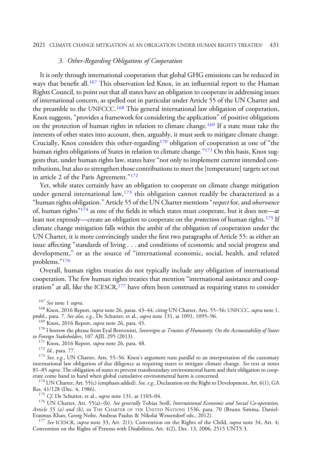## 3. Other-Regarding Obligations of Cooperation

It is only through international cooperation that global GHG emissions can be reduced in ways that benefit all.<sup>167</sup> This observation led Knox, in an influential report to the Human Rights Council, to point out that all states have an obligation to cooperate in addressing issues of international concern, as spelled out in particular under Article 55 of the UN Charter and the preamble to the UNFCCC.<sup>168</sup> This general international law obligation of cooperation, Knox suggests, "provides a framework for considering the application" of positive obligations on the protection of human rights in relation to climate change.<sup>169</sup> If a state must take the interests of other states into account, then, arguably, it must seek to mitigate climate change. Crucially, Knox considers this other-regarding<sup>170</sup> obligation of cooperation as one of "the human rights obligations of States in relation to climate change."<sup>171</sup> On this basis, Knox suggests that, under human rights law, states have"not only to implement current intended contributions, but also to strengthen those contributions to meet the [temperature] targets set out in article 2 of the Paris Agreement."<sup>172</sup>

Yet, while states certainly have an obligation to cooperate on climate change mitigation under general international law,  $173$  this obligation cannot readily be characterized as a "human rights obligation." Article 55 of the UN Charter mentions "respect for, and observance of, human rights" $174$  as one of the fields in which states must cooperate, but it does not—at least not expressly—create an obligation to cooperate on the *protection* of human rights.<sup>175</sup> If climate change mitigation falls within the ambit of the obligation of cooperation under the UN Charter, it is more convincingly under the first two paragraphs of Article 55: as either an issue affecting "standards of living . . . and conditions of economic and social progress and development," or as the source of "international economic, social, health, and related problems."<sup>176</sup>

Overall, human rights treaties do not typically include any obligation of international cooperation. The few human rights treaties that mention "international assistance and cooperation" at all, like the ICESCR,<sup>177</sup> have often been construed as requiring states to consider

<sup>167</sup> See note 1 supra.<br><sup>168</sup> Knox, 2016 Report, supra note 26, paras. 43–44, citing UN Charter, Arts. 55–56; UNFCCC, supra note 1,<br>pmbl., para. 7. *See also, e.g.*, De Schutter, et al., *supra* note 131, at 1091, 1095–96.

<sup>169</sup> Knox, 2016 Report, *supra* note 26, para. 45.<br><sup>170</sup> I borrow the phrase from Eyal Benvenisti, *Sovereigns as Trustees of Humanity: On the Accountability of States*<br>*to Foreign Stakeholders*, 107 AJIL 295 (2013).

<sup>171</sup> Knox, 2016 Report, *supra* note 26, para. 48. 172 Id., para. 77. 173 *See, e.g.*, UN Charter, Arts. 55–56. Knox's argument runs parallel to an interpretation of the customary 173 *See, e.g.*, UN Charter, Arts. 55–56 international law obligation of due diligence as requiring states to mitigate climate change. See text at notes 81–85 supra. The obligation of states to prevent transboundary environmental harm and their obligation to cooperate come hand in hand when global cumulative environmental harm is concerned.

 $^{174}$  UN Charter, Art. 55(c) (emphasis added). See, e.g., Declaration on the Right to Development, Art. 6(1), GA Res. 41/128 (Dec. 4, 1986).

<sup>175</sup> Cf. De Schutter, et al., *supra* note 131, at 1103–04.

<sup>176</sup> UN Charter, Art. 55(a)–(b). See generally Tobias Stoll, International Economic and Social Co-operation, Article 55 (a) and (b), in THE CHARTER OF THE UNITED NATIONS 1536, para. 70 (Bruno Simma, Daniel-Erasmus Khan, Georg Nolte, Andreas Paulus & Nikolai Wessendorf eds., 2012).

<sup>177</sup> See ICESCR, supra note 33, Art. 2(1); Convention on the Rights of the Child, supra note 34, Art. 4; Convention on the Rights of Persons with Disabilities, Art. 4(2), Dec. 13, 2006, 2515 UNTS 3.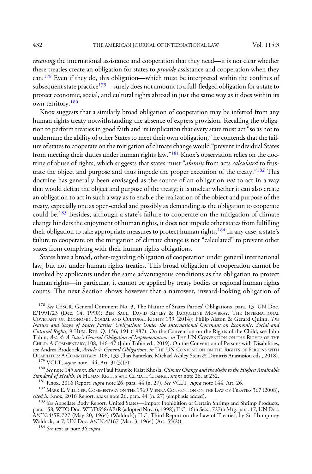receiving the international assistance and cooperation that they need—it is not clear whether these treaties create an obligation for states to *provide* assistance and cooperation when they can.<sup>178</sup> Even if they do, this obligation—which must be interpreted within the confines of subsequent state practice<sup>179</sup>—surely does not amount to a full-fledged obligation for a state to protect economic, social, and cultural rights abroad in just the same way as it does within its own territory.<sup>180</sup>

Knox suggests that a similarly broad obligation of cooperation may be inferred from any human rights treaty notwithstanding the absence of express provision. Recalling the obligation to perform treaties in good faith and its implication that every state must act "so as not to undermine the ability of other States to meet their own obligation," he contends that the failure of states to cooperate on the mitigation of climate change would "prevent individual States from meeting their duties under human rights law."<sup>181</sup> Knox's observation relies on the doctrine of abuse of rights, which suggests that states must "abstain from acts calculated to frustrate the object and purpose and thus impede the proper execution of the treaty."<sup>182</sup> This doctrine has generally been envisaged as the source of an obligation *not* to act in a way that would defeat the object and purpose of the treaty; it is unclear whether it can also create an obligation to act in such a way as to enable the realization of the object and purpose of the treaty, especially one as open-ended and possibly as demanding as the obligation to cooperate could be.<sup>183</sup> Besides, although a state's failure to cooperate on the mitigation of climate change hinders the enjoyment of human rights, it does not impede other states from fulfilling their obligation to take appropriate measures to protect human rights.<sup>184</sup> In any case, a state's failure to cooperate on the mitigation of climate change is not "calculated" to prevent other states from complying with their human rights obligations.

States have a broad, other-regarding obligation of cooperation under general international law, but not under human rights treaties. This broad obligation of cooperation cannot be invoked by applicants under the same advantageous conditions as the obligation to protect human rights—in particular, it cannot be applied by treaty bodies or regional human rights courts. The next Section shows however that a narrower, inward-looking obligation of

<sup>178</sup> See CESCR, General Comment No. 3, The Nature of States Parties' Obligations, para. 13, UN Doc. E/1991/23 (Dec. 14, 1990); BEN SAUL, DAVID KINLEY & JACQUELINE MOWBRAY, THE INTERNATIONAL COVENANT ON ECONOMIC, SOCIAL AND CULTURAL RIGHTS 139 (2014); Philip Alston & Gerard Quinn, The Nature and Scope of States Parties' Obligations Under the International Covenant on Economic, Social and Cultural Rights, 9 HUM. RTs. Q. 156, 191 (1987). On the Convention on the Rights of the Child, see John Tobin, *Art. 4: A State's General Obligation of Implementation, in* The UN Convention on the Rights of the CHILD:ACOMMENTARY, 108, 146–47 (John Tobin ed., 2019). On the Convention of Persons with Disabilities, see Andrea Broderick, *Article 4: General Obligations*, *in* THE UN CONVENTION ON THE RIGHTS OF PERSONS WITH DISABILITIES: A COMMENTARY, 106, 133 (Ilias Bantekas, Michael Ashley Stein & Dimitris Anastasiou eds., 2018).

 $^{179}$  VCLT, *supra* note 144, Art. 31(3)(b).<br> $^{180}$  *See* note 145 *supra. But see* Paul Hunt & Rajat Khosla, *Climate Change and the Right to the Highest Attainable*<br>*Standard of Health, in* HUMAN RIGHTS AND CLIMATE C

<sup>181</sup> Knox, 2016 Report, *supra* note 26, para. 44 (n. 27). *See VCLT*, *supra* note 144, Art. 26.<br><sup>182</sup> MARK E. VILLIGER, COMMENTARY ON THE 1969 VIENNA CONVENTION ON THE LAW OF TREATIES 367 (2008), *cited in* Knox, 2016 R

<sup>183</sup> See Appellate Body Report, United States—Import Prohibition of Certain Shrimp and Shrimp Products, para. 158, WTO Doc. WT/DS58/AB/R (adopted Nov. 6, 1998); ILC, 16th Sess., 727th Mtg. para. 17, UN Doc. A/CN.4/SR.727 (May 20, 1964) (Waldock); ILC, Third Report on the Law of Treaties, by Sir Humphrey Waldock, at 7, UN Doc. A/CN.4/167 (Mar. 3, 1964) (Art. 55(2)).<br><sup>184</sup> *See* text at note 36 *supra*.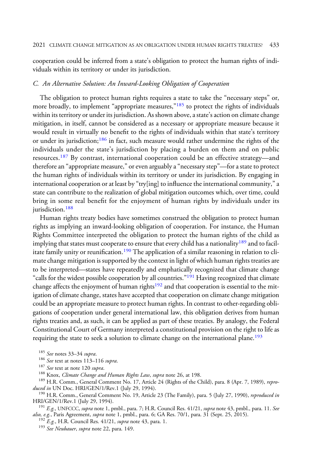cooperation could be inferred from a state's obligation to protect the human rights of individuals within its territory or under its jurisdiction.

### C. An Alternative Solution: An Inward-Looking Obligation of Cooperation

The obligation to protect human rights requires a state to take the "necessary steps" or, more broadly, to implement "appropriate measures,"<sup>185</sup> to protect the rights of individuals within its territory or under its jurisdiction. As shown above, a state's action on climate change mitigation, in itself, cannot be considered as a necessary or appropriate measure because it would result in virtually no benefit to the rights of individuals within that state's territory or under its jurisdiction;<sup>186</sup> in fact, such measure would rather undermine the rights of the individuals under the state's jurisdiction by placing a burden on them and on public resources.<sup>187</sup> By contrast, international cooperation could be an effective strategy-and therefore an "appropriate measure," or even arguably a"necessary step"—for a state to protect the human rights of individuals within its territory or under its jurisdiction. By engaging in international cooperation or at least by "try[ing] to influence the international community," a state can contribute to the realization of global mitigation outcomes which, over time, could bring in some real benefit for the enjoyment of human rights by individuals under its jurisdiction.<sup>188</sup>

Human rights treaty bodies have sometimes construed the obligation to protect human rights as implying an inward-looking obligation of cooperation. For instance, the Human Rights Committee interpreted the obligation to protect the human rights of the child as implying that states must cooperate to ensure that every child has a nationality<sup>189</sup> and to facilitate family unity or reunification.<sup>190</sup> The application of a similar reasoning in relation to climate change mitigation is supported by the context in light of which human rights treaties are to be interpreted—states have repeatedly and emphatically recognized that climate change "calls for the widest possible cooperation by all countries."<sup>191</sup> Having recognized that climate change affects the enjoyment of human rights $192$  and that cooperation is essential to the mitigation of climate change, states have accepted that cooperation on climate change mitigation could be an appropriate measure to protect human rights. In contrast to other-regarding obligations of cooperation under general international law, this obligation derives from human rights treaties and, as such, it can be applied as part of these treaties. By analogy, the Federal Constitutional Court of Germany interpreted a constitutional provision on the right to life as requiring the state to seek a solution to climate change on the international plane.<sup>193</sup>

<sup>185</sup> See notes 33–34 *supra*.<br><sup>186</sup> See text at notes 113–116 *supra*.<br><sup>187</sup> See text at note 120 *supra*.<br><sup>187</sup> See text at note 120 *supra*.<br><sup>188</sup> Knox, *Climate Change and Human Rights Law*, *supra* note 26, at 198.<br><sup></sup>

<sup>190</sup> H.R. Comm., General Comment No. 19, Article 23 (The Family), para. 5 (July 27, 1990), *reproduced in* HRI/GEN/1/Rev.1 (July 29, 1994).

<sup>191</sup> E.g., UNFCCC, supra note 1, pmbl., para. 7; H.R. Council Res. 41/21, supra note 43, pmbl., para. 11. See also, e.g., Paris Agreement, supra note 1, pmbl., para. 6; GA Res. 70/1, para. 31 (Sept. 25, 2015).<br><sup>192</sup> E.g., H.R. Council Res. 41/21, supra note 43, para. 1.<br><sup>193</sup> See Neubauer, supra note 22, para. 149.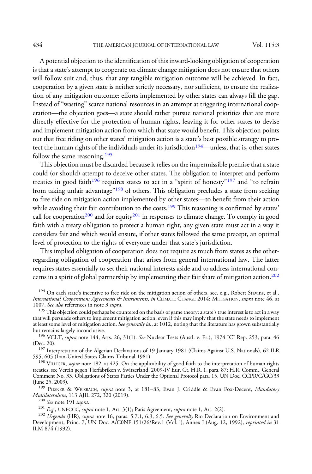A potential objection to the identification of this inward-looking obligation of cooperation is that a state's attempt to cooperate on climate change mitigation does not ensure that others will follow suit and, thus, that any tangible mitigation outcome will be achieved. In fact, cooperation by a given state is neither strictly necessary, nor sufficient, to ensure the realization of any mitigation outcome: efforts implemented by other states can always fill the gap. Instead of "wasting" scarce national resources in an attempt at triggering international cooperation—the objection goes—a state should rather pursue national priorities that are more directly effective for the protection of human rights, leaving it for other states to devise and implement mitigation action from which that state would benefit. This objection points out that free riding on other states' mitigation action is a state's best possible strategy to protect the human rights of the individuals under its jurisdiction<sup>194</sup>—unless, that is, other states follow the same reasoning.<sup>195</sup>

This objection must be discarded because it relies on the impermissible premise that a state could (or should) attempt to deceive other states. The obligation to interpret and perform treaties in good faith<sup>196</sup> requires states to act in a "spirit of honesty"<sup>197</sup> and "to refrain from taking unfair advantage<sup>"198</sup> of others. This obligation precludes a state from seeking to free ride on mitigation action implemented by other states—to benefit from their action while avoiding their fair contribution to the costs.<sup>199</sup> This reasoning is confirmed by states' call for cooperation<sup>200</sup> and for equity<sup>201</sup> in responses to climate change. To comply in good faith with a treaty obligation to protect a human right, any given state must act in a way it considers fair and which would ensure, if other states followed the same precept, an optimal level of protection to the rights of everyone under that state's jurisdiction.

This implied obligation of cooperation does not require as much from states as the otherregarding obligation of cooperation that arises from general international law. The latter requires states essentially to set their national interests aside and to address international concerns in a spirit of global partnership by implementing their fair share of mitigation action.<sup>202</sup>

that will persuade others to implement mitigation action, even if this may imply that the state needs to implement at least some level of mitigation action. See generally id., at 1012, noting that the literature has grown substantially but remains largely inconclusive.

<sup>196</sup> VCLT, supra note 144, Arts. 26, 31(1). See Nuclear Tests (Austl. v. Fr.), 1974 ICJ Rep. 253, para. 46

(Dec. 20). 197 Interpretation of the Algerian Declarations of 19 January 1981 (Claims Against U.S. Nationals), 62 ILR 595, 605 (Iran-United States Claims Tribunal 1981).

<sup>198</sup> VILLIGER, supra note 182, at 425. On the applicability of good faith to the interpretation of human rights treaties, see Verein gegen Tierfabriken v. Switzerland, 2009-IV Eur. Ct. H.R. 1, para. 87; H.R. Comm., General Comment No. 33, Obligations of States Parties Under the Optional Protocol para. 15, UN Doc. CCPR/C/GC/33

(June 25, 2009).<br><sup>199</sup> POSNER & WEISBACH, *supra* note 3, at 181–83; Evan J. Criddle & Evan Fox-Decent, *Mandatory*<br>*Multilateralism*, 113 AJIL 272, 320 (2019).

<sup>200</sup> See note 191 supra.<br><sup>201</sup> E.g., UNFCCC, supra note 1, Art. 3(1); Paris Agreement, supra note 1, Art. 2(2).<br><sup>202</sup> Urgenda (HR), supra note 16, paras. 5.7.1, 6.3, 6.5. See generally Rio Declaration on Environment and Development, Princ. 7, UN Doc. A/C0NF.151/26/Rev.1 (Vol. l), Annex I (Aug. 12, 1992), reprinted in 31 ILM 874 (1992).

<sup>&</sup>lt;sup>194</sup> On each state's incentive to free ride on the mitigation action of others, see, e.g., Robert Stavins, et al., International Cooperation: Agreements & Instruments, in CLIMATE CHANGE 2014: MITIGATION, supra note 46, at 1007. See also references in note 3 supra. 1007. *See also references in note 3 supra.*<br>195 This objection could perhaps be countered on the basis of game theory: a state's true interest is to act in a way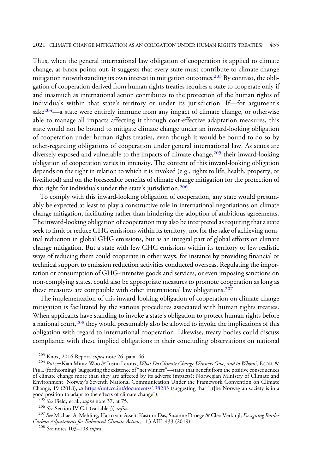Thus, when the general international law obligation of cooperation is applied to climate change, as Knox points out, it suggests that every state must contribute to climate change mitigation notwithstanding its own interest in mitigation outcomes.<sup>203</sup> By contrast, the obligation of cooperation derived from human rights treaties requires a state to cooperate only if and inasmuch as international action contributes to the protection of the human rights of individuals within that state's territory or under its jurisdiction. If—for argument's sake $204$ —a state were entirely immune from any impact of climate change, or otherwise able to manage all impacts affecting it through cost-effective adaptation measures, this state would not be bound to mitigate climate change under an inward-looking obligation of cooperation under human rights treaties, even though it would be bound to do so by other-regarding obligations of cooperation under general international law. As states are diversely exposed and vulnerable to the impacts of climate change, <sup>205</sup> their inward-looking obligation of cooperation varies in intensity. The content of this inward-looking obligation depends on the right in relation to which it is invoked (e.g., rights to life, health, property, or livelihood) and on the foreseeable benefits of climate change mitigation for the protection of that right for individuals under the state's jurisdiction.<sup>206</sup>

To comply with this inward-looking obligation of cooperation, any state would presumably be expected at least to play a constructive role in international negotiations on climate change mitigation, facilitating rather than hindering the adoption of ambitious agreements. The inward-looking obligation of cooperation may also be interpreted as requiring that a state seek to limit or reduce GHG emissions within its territory, not for the sake of achieving nominal reduction in global GHG emissions, but as an integral part of global efforts on climate change mitigation. But a state with few GHG emissions within its territory or few realistic ways of reducing them could cooperate in other ways, for instance by providing financial or technical support to emission reduction activities conducted overseas. Regulating the importation or consumption of GHG-intensive goods and services, or even imposing sanctions on non-complying states, could also be appropriate measures to promote cooperation as long as these measures are compatible with other international law obligations.<sup>207</sup>

The implementation of this inward-looking obligation of cooperation on climate change mitigation is facilitated by the various procedures associated with human rights treaties. When applicants have standing to invoke a state's obligation to protect human rights before a national court,<sup>208</sup> they would presumably also be allowed to invoke the implications of this obligation with regard to international cooperation. Likewise, treaty bodies could discuss compliance with these implied obligations in their concluding observations on national

<sup>205</sup> See Field, et al., *supra* note 37, at 75.<br><sup>206</sup> See Section IV.C.1 (variable 3) *infra*.<br><sup>207</sup> See Michael A. Mehling, Harro van Asselt, Kasturo Das, Susanne Droege & Cleo Verkuijl, *Designing Border* Carbon Adjustments for Enhanced Climate Action, 113 AJIL 433 (2019).<br><sup>208</sup> See notes 103–108 supra.

<sup>&</sup>lt;sup>203</sup> Knox, 2016 Report, *supra* note 26, para. 46.<br><sup>204</sup> But see Kian Mintz-Woo & Justin Leroux, *What Do Climate Change Winners Owe, and to Whom?*, ECON. & PHIL. (forthcoming) (suggesting the existence of"net winners"—states that benefit from the positive consequences of climate change more than they are affected by its adverse impacts); Norwegian Ministry of Climate and Environment, Norway's Seventh National Communication Under the Framework Convention on Climate Change, 19 (2018), *at* <https://unfccc.int/documents/198283> (suggesting that "[t]he Norwegian society is in a good position to adapt to the effects of climate change").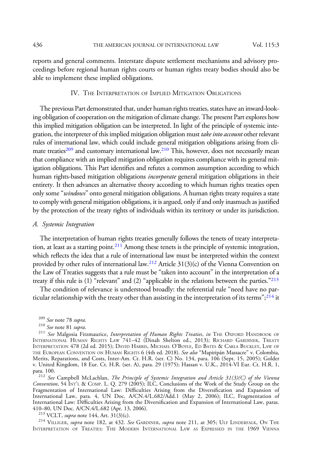reports and general comments. Interstate dispute settlement mechanisms and advisory proceedings before regional human rights courts or human rights treaty bodies should also be able to implement these implied obligations.

### IV. THE INTERPRETATION OF IMPLIED MITIGATION OBLIGATIONS

The previous Part demonstrated that, under human rights treaties, states have an inward-looking obligation of cooperation on the mitigation of climate change. The present Part explores how this implied mitigation obligation can be interpreted. In light of the principle of systemic integration, the interpreter of this implied mitigation obligation must take into account other relevant rules of international law, which could include general mitigation obligations arising from climate treaties<sup>209</sup> and customary international law.<sup>210</sup> This, however, does not necessarily mean that compliance with an implied mitigation obligation requires compliance with its general mitigation obligations. This Part identifies and refutes a common assumption according to which human rights-based mitigation obligations *incorporate* general mitigation obligations in their entirety. It then advances an alternative theory according to which human rights treaties open only some "windows" onto general mitigation obligations. A human rights treaty requires a state to comply with general mitigation obligations, it is argued, only if and only inasmuch as justified by the protection of the treaty rights of individuals within its territory or under its jurisdiction.

#### A. Systemic Integration

The interpretation of human rights treaties generally follows the tenets of treaty interpretation, at least as a starting point.<sup>211</sup> Among these tenets is the principle of systemic integration, which reflects the idea that a rule of international law must be interpreted within the context provided by other rules of international law.<sup>212</sup> Article  $31(3)(c)$  of the Vienna Convention on the Law of Treaties suggests that a rule must be "taken into account" in the interpretation of a treaty if this rule is (1) "relevant" and (2) "applicable in the relations between the parties."<sup>213</sup>

The condition of relevance is understood broadly: the referential rule "need have no particular relationship with the treaty other than assisting in the interpretation of its terms"; $^{214}$  it

<sup>213</sup> VCLT, *supra* note 144, Art. 31(3)(c).<br><sup>214</sup> VILLIGER, *supra* note 182, at 432. *See* GARDINER, *supra* note 211, at 305; ULF LINDERFALK, ON THE INTERPRETATION OF TREATIES: THE MODERN INTERNATIONAL LAW AS EXPRESSED IN THE 1969 VIENNA

<sup>&</sup>lt;sup>209</sup> See note 78 *supra.*<br><sup>210</sup> See note 81 *supra.*<br><sup>211</sup> See Malgosia Fitzmaurice, *Interpretation of Human Rights Treaties, in* THE OXFORD HANDBOOK OF INTERNATIONAL HUMAN RIGHTS LAW 741–42 (Dinah Shelton ed., 2013); RICHARD GARDINER, TREATY INTERPRETATION 478 (2d ed. 2015); DAVID HARRIS, MICHAEL O'BOYLE, ED BATES & CARLA BUCKLEY, LAW OF THE EUROPEAN CONVENTION ON HUMAN RIGHTS 6 (4th ed. 2018). See also "Mapiripán Massacre" v. Colombia, Merits, Reparations, and Costs, Inter-Am. Ct. H.R. (ser. C) No. 134, para. 106 (Sept. 15, 2005); Golder v. United Kingdom, 18 Eur. Ct. H.R. (ser. A), para. 29 (1975); Hassan v. U.K., 2014-VI Eur. Ct. H.R. 1, para. 100.

<sup>&</sup>lt;sup>212</sup> See Campbell McLachlan, The Principle of Systemic Integration and Article  $31(3)(C)$  of the Vienna Convention, 54 INT'<sup>L</sup> & COMP. L. Q. 279 (2005); ILC, Conclusions of the Work of the Study Group on the Fragmentation of International Law: Difficulties Arising from the Diversification and Expansion of International Law, para. 4, UN Doc. A/CN.4/L.682/Add.1 (May 2, 2006); ILC, Fragmentation of International Law: Difficulties Arising from the Diversification and Expansion of International Law, paras.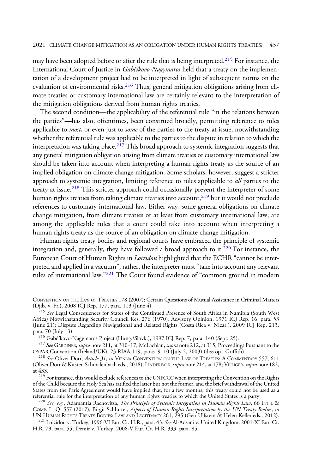#### 2021 CLIMATE CHANGE MITIGATION AS AN OBLIGATION UNDER HUMAN RIGHTS TREATIES? 437

may have been adopted before or after the rule that is being interpreted.<sup>215</sup> For instance, the International Court of Justice in Gabčíkovo-Nagymaros held that a treaty on the implementation of a development project had to be interpreted in light of subsequent norms on the evaluation of environmental risks.<sup>216</sup> Thus, general mitigation obligations arising from climate treaties or customary international law are certainly relevant to the interpretation of the mitigation obligations derived from human rights treaties.

The second condition—the applicability of the referential rule "in the relations between the parties"—has also, oftentimes, been construed broadly, permitting reference to rules applicable to *most*, or even just to *some* of the parties to the treaty at issue, notwithstanding whether the referential rule was applicable to the parties to the dispute in relation to which the interpretation was taking place.<sup>217</sup> This broad approach to systemic integration suggests that any general mitigation obligation arising from climate treaties or customary international law should be taken into account when interpreting a human rights treaty as the source of an implied obligation on climate change mitigation. Some scholars, however, suggest a stricter approach to systemic integration, limiting reference to rules applicable to *all* parties to the treaty at issue.<sup>218</sup> This stricter approach could occasionally prevent the interpreter of some human rights treaties from taking climate treaties into account, $2^{19}$  but it would not preclude references to customary international law. Either way, some general obligations on climate change mitigation, from climate treaties or at least from customary international law, are among the applicable rules that a court could take into account when interpreting a human rights treaty as the source of an obligation on climate change mitigation.

Human rights treaty bodies and regional courts have embraced the principle of systemic integration and, generally, they have followed a broad approach to it.<sup>220</sup> For instance, the European Court of Human Rights in *Loizidou* highlighted that the ECHR "cannot be interpreted and applied in a vacuum"; rather, the interpreter must "take into account any relevant rules of international law."<sup>221</sup> The Court found evidence of "common ground in modern

<sup>216</sup> Gabčíkovo-Nagymaros Project (Hung./Slovk.), 1997 ICJ Rep. 7, para. 140 (Sept. 25).<br><sup>217</sup> See GARDINER, supra note 211, at 310–17; McLachlan, supra note 212, at 315; Proceedings Pursuant to the<br>OSPAR Convention (Irela

<sup>218</sup> See Oliver Dörr, Article 31, in VIENNA CONVENTION ON THE LAW OF TREATIES: A COMMENTARY 557, 611 (Oliver Dörr & Kirsten Schmalenbach eds., 2018); LINDERFALK, *supra* note 214, at 178; VILLIGER, *supra* note 182, at 433.

<sup>219</sup> For instance, this would exclude references to the UNFCCC when interpreting the Convention on the Rights of the Child because the Holy Sea has ratified the latter but not the former, and the brief withdrawal of the United States from the Paris Agreement would have implied that, for a few months, this treaty could not be used as a referential rule for the interpretation of any human rights treaties to which the United States is a party. referential rule for the interpretation of any human rights treaties to which the United States is a party.<br><sup>220</sup> *See, e.g.*, Adamantia Rachovitsa, *The Principle of Systemic Integration in Human Rights Law*, 66 INT'L &

COMP. L. Q. 557 (2017); Birgit Schlütter, Aspects of Human Rights Interpretation by the UN Treaty Bodies, in

<sup>221</sup> Loizidou v. Turkey, 1996-VI Eur. Ct. H.R., para. 43. See Al-Adsani v. United Kingdom, 2001-XI Eur. Ct. H.R. 79, para. 55; Demír v. Turkey, 2008-V Eur. Ct. H.R. 333, para. 85.

CONVENTION ON THE LAW OF TREATIES 178 (2007); Certain Questions of Mutual Assistance in Criminal Matters (Djib. v. Fr.), 2008 ICJ Rep. 177, para. 113 (June 4).<br><sup>215</sup> *See* Legal Consequences for States of the Continued Presence of South Africa in Namibia (South West

Africa) Notwithstanding Security Council Res. 276 (1970), Advisory Opinion, 1971 ICJ Rep. 16, para. 53 (June 21); Dispute Regarding Navigational and Related Rights (Costa Rica v. Nicar.), 2009 ICJ Rep. 213, para. 70 (July 13).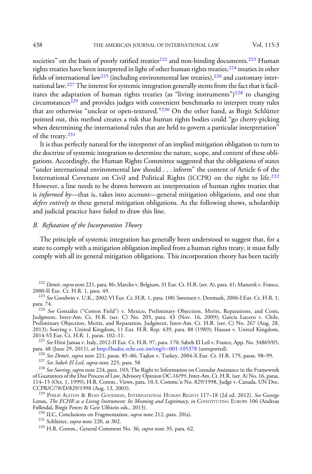societies" on the basis of poorly ratified treaties<sup>222</sup> and non-binding documents.<sup>223</sup> Human rights treaties have been interpreted in light of other human rights treaties,<sup>224</sup> treaties in other fields of international law<sup>225</sup> (including environmental law treaties),  $226$  and customary international law.227The interest for systemic integration generally stems from the fact that it facilitates the adaptation of human rights treaties (as "living instruments") $228$  to changing circumstances<sup>229</sup> and provides judges with convenient benchmarks to interpret treaty rules that are otherwise "unclear or open-textured."<sup>230</sup> On the other hand, as Birgit Schlütter pointed out, this method creates a risk that human rights bodies could "go cherry-picking when determining the international rules that are held to govern a particular interpretation" of the treaty.<sup>231</sup>

It is thus perfectly natural for the interpreter of an implied mitigation obligation to turn to the doctrine of systemic integration to determine the nature, scope, and content of these obligations. Accordingly, the Human Rights Committee suggested that the obligations of states "under international environmental law should . . . inform" the content of Article 6 of the International Covenant on Civil and Political Rights (ICCPR) on the right to life.<sup>232</sup> However, a line needs to be drawn between an interpretation of human rights treaties that is *informed by*—that is, takes into account—general mitigation obligations, and one that defers entirely to these general mitigation obligations. As the following shows, scholarship and judicial practice have failed to draw this line.

# B. Refutation of the Incorporation Theory

The principle of systemic integration has generally been understood to suggest that, for a state to comply with a mitigation obligation implied from a human rights treaty, it must fully comply with all its general mitigation obligations. This incorporation theory has been tacitly

Judgment, Inter-Am. Ct. H.R. (ser. C) No. 205, para. 43 (Nov. 16, 2009); García Lucero v. Chile, Preliminary Objection, Merits, and Reparation, Judgment, Inter-Am. Ct. H.R. (ser. C) No. 267 (Aug. 28, 2013); Soering v. United Kingdom, 11 Eur. H.R. Rep. 439, para. 88 (1989); Hassan v. United Kingdom,<br>2014-VI Eur. Ct. H.R. 1, paras. 102–11.

<sup>225</sup> See Hirsi Jamaa v. Italy, 2012-II Eur. Ct. H.R. 97, para. 170; Sabeh El Leil v. France, App. No. 34869/05, para. 48 (June 29, 2011), *at* http://hudoc.echr.coe.int/eng?i=001-105378 (unreported). para. 48 (June 29, 2011), *at* [http://hudoc.echr.coe.int/eng?i](http://hudoc.echr.coe.int/eng?i=001-105378)=[001-105378](http://hudoc.echr.coe.int/eng?i=001-105378) (unreported).<br><sup>226</sup> *See Demir, supra* note 221, paras. 85–86; Taşkın v. Turkey, 2004-X Eur. Ct. H.R. 179, paras. 98–99.<br><sup>227</sup> *See Sabeh El Leil,* 

of Guarantees of the Due Process of Law, Advisory Opinion OC-16/99, Inter-Am. Ct. H.R. (ser. A) No. 16, paras. 114–15 (Oct. 1, 1999); H.R. Comm., Views, para. 10.3, Commc'n No. 829/1998, Judge v. Canada, UN Doc.

<sup>229</sup> PHILIP ALSTON & RYAN GOODMAN, INTERNATIONAL HUMAN RIGHTS 117-18 (2d ed. 2012). See George Letsas, *The ECHR as a Living Instrument: Its Meaning and Legitimacy, in CONSTITUTING EUROPE 106 (Andreas Føllesdal, Birgit Peters & Geir Ulfstein eds., 2013).* 

<sup>&</sup>lt;sup>222</sup> Demír, supra note 221, para. 86; Marckx v. Belgium, 31 Eur. Ct. H.R. (ser. A), para. 41; Mazurek v. France, 2000-II Eur. Ct. H.R. 1, para. 49.

<sup>&</sup>lt;sup>223</sup> See Goodwin v. U.K., 2002-VI Eur. Ct. H.R. 1, para. 100; Sørensen v. Denmark, 2006-I Eur. Ct. H.R. 1, para. 74. para. 74.<br><sup>224</sup> *See* González ("Cotton Field") v. Mexico, Preliminary Objection, Merits, Reparations, and Costs,

<sup>&</sup>lt;sup>230</sup> ILC, Conclusions on Fragmentation, *supra* note 212, para. 20(a).<br><sup>231</sup> Schlütter, *supra* note 220, at 302.<br><sup>232</sup> H.R. Comm., General Comment No. 36, *supra* note 35, para. 62.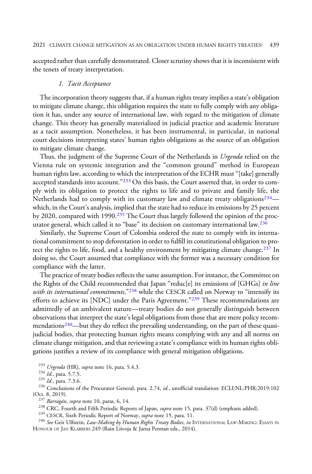accepted rather than carefully demonstrated. Closer scrutiny shows that it is inconsistent with the tenets of treaty interpretation.

#### 1. Tacit Acceptance

The incorporation theory suggests that, if a human rights treaty implies a state's obligation to mitigate climate change, this obligation requires the state to fully comply with any obligation it has, under any source of international law, with regard to the mitigation of climate change. This theory has generally materialized in judicial practice and academic literature as a tacit assumption. Nonetheless, it has been instrumental, in particular, in national court decisions interpreting states' human rights obligations as the source of an obligation to mitigate climate change.

Thus, the judgment of the Supreme Court of the Netherlands in *Urgenda* relied on the Vienna rule on systemic integration and the "common ground" method in European human rights law, according to which the interpretation of the ECHR must "[take] generally accepted standards into account."<sup>233</sup> On this basis, the Court asserted that, in order to comply with its obligation to protect the rights to life and to private and family life, the Netherlands had to comply with its customary law and climate treaty obligations<sup>234</sup> which, in the Court's analysis, implied that the state had to reduce its emissions by 25 percent by 2020, compared with 1990.235 The Court thus largely followed the opinion of the procurator general, which called it to "base" its decision on customary international law.<sup>236</sup>

Similarly, the Supreme Court of Colombia ordered the state to comply with its international commitment to stop deforestation in order to fulfill its constitutional obligation to protect the rights to life, food, and a healthy environment by mitigating climate change.<sup>237</sup> In doing so, the Court assumed that compliance with the former was a necessary condition for compliance with the latter.

The practice of treaty bodies reflects the same assumption. For instance, the Committee on the Rights of the Child recommended that Japan "reduc[e] its emissions of [GHGs] in line with its international commitments,"<sup>238</sup> while the CESCR called on Norway to "intensify its efforts to achieve its [NDC] under the Paris Agreement."<sup>239</sup> These recommendations are admittedly of an ambivalent nature—treaty bodies do not generally distinguish between observations that interpret the state's legal obligations from those that are mere policy recommendations<sup>240</sup>—but they do reflect the prevailing understanding, on the part of these quasijudicial bodies, that protecting human rights means complying with any and all norms on climate change mitigation, and that reviewing a state's compliance with its human rights obligations justifies a review of its compliance with general mitigation obligations.

<sup>233</sup> Urgenda (HR), *supra* note 16, para. 5.4.3.<br><sup>234</sup> Id., para. 5.7.5.

<sup>235</sup> Id., para. 7.3.6. <sup>235</sup> Conclusions of the Procurator General, para. 2.74, *id.*, unofficial translation: ECLI:NL:PHR:2019:102 (Oct. 8, 2019).

<sup>237</sup> Barragán, supra note 10, paras. 6, 14.<br><sup>238</sup> CRC, Fourth and Fifth Periodic Reports of Japan, supra note 15, para. 37(d) (emphasis added).<br><sup>239</sup> CESCR, Sixth Periodic Report of Norway, *supra* note 15, para. 11.<br><sup>240</sup> HONOUR OF JAN KLABBERS 249 (Rain Liivoja & Jarna Petman eds., 2014).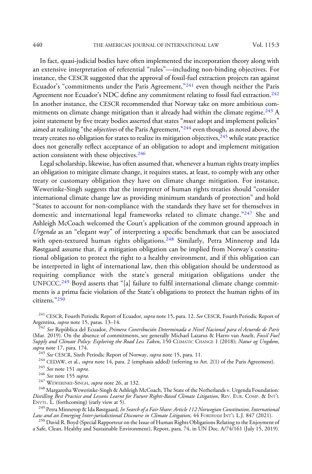440 THE AMERICAN JOURNAL OF INTERNATIONAL LAW Vol. 115:3

In fact, quasi-judicial bodies have often implemented the incorporation theory along with an extensive interpretation of referential "rules"—including non-binding objectives. For instance, the CESCR suggested that the approval of fossil-fuel extraction projects ran against Ecuador's "commitments under the Paris Agreement,"<sup>241</sup> even though neither the Paris Agreement nor Ecuador's NDC define any commitment relating to fossil fuel extraction.<sup>242</sup> In another instance, the CESCR recommended that Norway take on more ambitious commitments on climate change mitigation than it already had within the climate regime. $243$  A joint statement by five treaty bodies asserted that states "must adopt and implement policies" aimed at realizing "the *objectives* of the Paris Agreement,"<sup>244</sup> even though, as noted above, the treaty creates no obligation for states to realize its mitigation objectives,  $245$  while state practice does not generally reflect acceptance of an obligation to adopt and implement mitigation action consistent with these objectives.<sup>246</sup>

Legal scholarship, likewise, has often assumed that, whenever a human rights treaty implies an obligation to mitigate climate change, it requires states, at least, to comply with any other treaty or customary obligation they have on climate change mitigation. For instance, Wewerinke-Singh suggests that the interpreter of human rights treaties should "consider international climate change law as providing minimum standards of protection" and hold "States to account for non-compliance with the standards they have set for themselves in domestic and international legal frameworks related to climate change."<sup>247</sup> She and Ashleigh McCoach welcomed the Court's application of the common ground approach in Urgenda as an "elegant way" of interpreting a specific benchmark that can be associated with open-textured human rights obligations.<sup>248</sup> Similarly, Petra Minnerop and Ida Røstgaard assume that, if a mitigation obligation can be implied from Norway's constitutional obligation to protect the right to a healthy environment, and if this obligation can be interpreted in light of international law, then this obligation should be understood as requiring compliance with the state's general mitigation obligations under the UNFCCC.<sup>249</sup> Boyd asserts that "[a] failure to fulfil international climate change commitments is a prima facie violation of the State's obligations to protect the human rights of its citizens."<sup>250</sup>

<sup>241</sup> CESCR, Fourth Periodic Report of Ecuador, *supra* note 15, para. 12. See CESCR, Fourth Periodic Report of Argentina, *supra* note 15, paras. 13–14.

<sup>242</sup> See República del Ecuador, *Primera Contribución Determinada a Nivel Nacional para el Acuerdo de París* (Mar. 2019). On the absence of commitments, see generally Michael Lazarus & Harro van Asselt, Fossil Fuel Supply and Climate Policy: Exploring the Road Less Taken, 150 CLIMATIC CHANGE 1 (2018); Natur og Ungdom, supra note 17, para. 174.<br><sup>243</sup> See CESCR, Sixth Periodic Report of Norway, supra note 15, para. 11.

<sup>244</sup> CEDAW, et al., *supra* note 14, para. 2 (emphasis added) (referring to Art. 2(1) of the Paris Agreement).<br><sup>245</sup> See note 151 supra.

<sup>245</sup> See note 151 *supra.*<br><sup>246</sup> See note 155 *supra.*<br><sup>247</sup> WEWERINKE-SINGH, *supra* note 26, at 132.<br><sup>248</sup> Margaretha Wewerinke-Singh & Ashleigh McCoach, The State of the Netherlands v. Urgenda Foundation: Distilling Best Practice and Lessons Learnt for Future Rights-Based Climate Litigation, REV. EUR. COMP.&INT'<sup>L</sup> ENVTL.  $\tilde{L}$ . (forthcoming) (early view at 5).

<sup>249</sup> Petra Minnerop & Ida Røstgaard, *In Search of a Fair Share: Article 112 Norwegian Constitution, International*<br>Law and an Emerging Inter-jurisdictional Discourse in Climate Litigation, 44 FORDHAM INT'L L.J. 847 (2021

<sup>250</sup> David R. Boyd (Special Rapporteur on the Issue of Human Rights Obligations Relating to the Enjoyment of a Safe, Clean, Healthy and Sustainable Environment), Report, para. 74, in UN Doc. A/74/161 (July 15, 2019).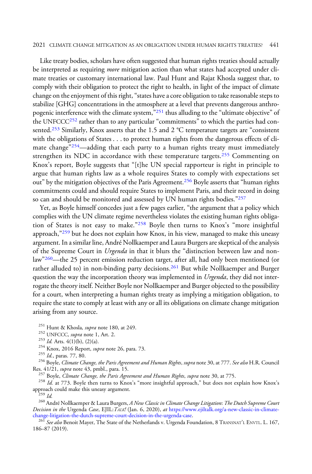#### 2021 CLIMATE CHANGE MITIGATION AS AN OBLIGATION UNDER HUMAN RIGHTS TREATIES? 441

Like treaty bodies, scholars have often suggested that human rights treaties should actually be interpreted as requiring *more* mitigation action than what states had accepted under climate treaties or customary international law. Paul Hunt and Rajat Khosla suggest that, to comply with their obligation to protect the right to health, in light of the impact of climate change on the enjoyment of this right, "states have a core obligation to take reasonable steps to stabilize [GHG] concentrations in the atmosphere at a level that prevents dangerous anthropogenic interference with the climate system,"<sup>251</sup> thus alluding to the "ultimate objective" of the UNFCCC<sup>252</sup> rather than to any particular "commitments" to which the parties had consented.<sup>253</sup> Similarly, Knox asserts that the 1.5 and 2  $^{\circ}$ C temperature targets are "consistent with the obligations of States . . . to protect human rights from the dangerous effects of climate change<sup>"254</sup>—adding that each party to a human rights treaty must immediately strengthen its NDC in accordance with these temperature targets.<sup>255</sup> Commenting on Knox's report, Boyle suggests that "[t]he UN special rapporteur is right in principle to argue that human rights law as a whole requires States to comply with expectations set out" by the mitigation objectives of the Paris Agreement.<sup>256</sup> Boyle asserts that "human rights commitments could and should require States to implement Paris, and their record in doing so can and should be monitored and assessed by UN human rights bodies."<sup>257</sup>

Yet, as Boyle himself concedes just a few pages earlier, "the argument that a policy which complies with the UN climate regime nevertheless violates the existing human rights obligation of States is not easy to make."<sup>258</sup> Boyle then turns to Knox's "more insightful approach,"<sup>259</sup> but he does not explain how Knox, in his view, managed to make this uneasy argument. In a similar line, André Nollkaemper and Laura Burgers are skeptical of the analysis of the Supreme Court in *Urgenda* in that it blurs the "distinction between law and nonlaw"260—the 25 percent emission reduction target, after all, had only been mentioned (or rather alluded to) in non-binding party decisions.<sup>261</sup> But while Nollkaemper and Burger question the way the incorporation theory was implemented in Urgenda, they did not interrogate the theory itself. Neither Boyle nor Nollkaemper and Burger objected to the possibility for a court, when interpreting a human rights treaty as implying a mitigation obligation, to require the state to comply at least with any or all its obligations on climate change mitigation arising from any source.

<sup>251</sup> Hunt & Khosla, *supra* note 180, at 249.<br><sup>252</sup> UNFCCC, *supra* note 1, Art. 2.<br><sup>253</sup> Id. Arts. 4(1)(b), (2)(a).

<sup>254</sup> Knox, 2016 Report, *supra* note 26, para. 73.<br><sup>255</sup> Id., paras. 77, 80.

<sup>256</sup> Boyle, *Climate Change, the Paris Agreement and Human Rights, supra* note 30, at 777. *See also* H.R. Council Res. 41/21, *supra* note 43, pmbl., para. 15.

<sup>257</sup> Boyle, *Climate Change, the Paris Agreement and Human Rights, supra* note 30, at 775.<br><sup>258</sup> *Id.* at 773. Boyle then turns to Knox's "more insightful approach," but does not explain how Knox's approach could make th

<sup>260</sup> André Nollkaemper & Laura Burgers, A New Classic in Climate Change Litigation: The Dutch Supreme Court Decision in the Urgenda Case, EJIL: TALK! (Jan. 6, 2020), at https://www.ejiltalk.org/a-new-classic-in-climate-<br>change-litigation-the-dutch-supreme-court-decision-in-the-urgenda-case.

<sup>261</sup> See also Benoit Mayer, The State of the Netherlands v. Urgenda Foundation, 8 TRANSNAT'L ENVTL. L. 167, 186–87 (2019).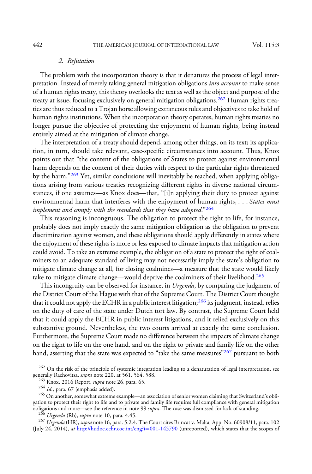### 2. Refutation

The problem with the incorporation theory is that it denatures the process of legal interpretation. Instead of merely taking general mitigation obligations *into account* to make sense of a human rights treaty, this theory overlooks the text as well as the object and purpose of the treaty at issue, focusing exclusively on general mitigation obligations.<sup>262</sup> Human rights treaties are thus reduced to a Trojan horse allowing extraneous rules and objectives to take hold of human rights institutions. When the incorporation theory operates, human rights treaties no longer pursue the objective of protecting the enjoyment of human rights, being instead entirely aimed at the mitigation of climate change.

The interpretation of a treaty should depend, among other things, on its text; its application, in turn, should take relevant, case-specific circumstances into account. Thus, Knox points out that "the content of the obligations of States to protect against environmental harm depends on the content of their duties with respect to the particular rights threatened by the harm."<sup>263</sup> Yet, similar conclusions will inevitably be reached, when applying obligations arising from various treaties recognizing different rights in diverse national circumstances, if one assumes—as Knox does—that, "[i]n applying their duty to protect against environmental harm that interferes with the enjoyment of human rights, . . . States must implement and comply with the standards that they have adopted." $^{264}$ 

This reasoning is incongruous. The obligation to protect the right to life, for instance, probably does not imply exactly the same mitigation obligation as the obligation to prevent discrimination against women, and these obligations should apply differently in states where the enjoyment of these rights is more or less exposed to climate impacts that mitigation action could avoid. To take an extreme example, the obligation of a state to protect the right of coalminers to an adequate standard of living may not necessarily imply the state's obligation to mitigate climate change at all, for closing coalmines—a measure that the state would likely take to mitigate climate change—would deprive the coalminers of their livelihood.<sup>265</sup>

This incongruity can be observed for instance, in Urgenda, by comparing the judgment of the District Court of the Hague with that of the Supreme Court. The District Court thought that it could not apply the ECHR in a public interest litigation;<sup>266</sup> its judgment, instead, relies on the duty of care of the state under Dutch tort law. By contrast, the Supreme Court held that it could apply the ECHR in public interest litigations, and it relied exclusively on this substantive ground. Nevertheless, the two courts arrived at exactly the same conclusion. Furthermore, the Supreme Court made no difference between the impacts of climate change on the right to life on the one hand, and on the right to private and family life on the other hand, asserting that the state was expected to "take the same measures"<sup>267</sup> pursuant to both

<sup>262</sup> On the risk of the principle of systemic integration leading to a denaturation of legal interpretation, see generally Rachovitsa, *supra* note 220, at 561, 564, 588.

<sup>263</sup> Knox, 2016 Report, *supra* note 26, para. 65. <sup>264</sup> Id., para. 67 (emphasis added).

<sup>265</sup> On another, somewhat extreme example—an association of senior women claiming that Switzerland's obligation to protect their right to life and to private and family life requires full compliance with general mitigation obligations and more—see the reference in note 99 *supra*. The case was dismissed for lack of standing.<br><sup>266</sup> Urgenda (Rb), supra note 10, para. 4.45.

<sup>267</sup> Urgenda (HR), supra note 16, para. 5.2.4. The Court cites Brincat v. Malta, App. No. 60908/11, para. 102 (July 24, 2014), at [http://hudoc.echr.coe.int/eng?i](http://hudoc.echr.coe.int/eng?i=001-145790)=[001-145790](http://hudoc.echr.coe.int/eng?i=001-145790) (unreported), which states that the scopes of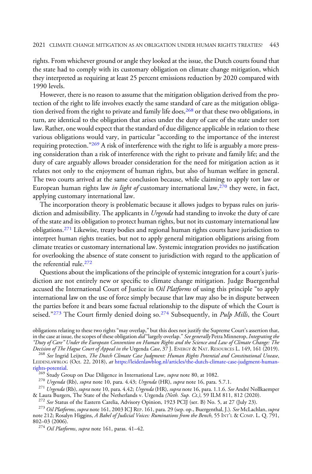rights. From whichever ground or angle they looked at the issue, the Dutch courts found that the state had to comply with its customary obligation on climate change mitigation, which they interpreted as requiring at least 25 percent emissions reduction by 2020 compared with 1990 levels.

However, there is no reason to assume that the mitigation obligation derived from the protection of the right to life involves exactly the same standard of care as the mitigation obligation derived from the right to private and family life does,<sup>268</sup> or that these two obligations, in turn, are identical to the obligation that arises under the duty of care of the state under tort law. Rather, one would expect that the standard of due diligence applicable in relation to these various obligations would vary, in particular "according to the importance of the interest requiring protection."<sup>269</sup> A risk of interference with the right to life is arguably a more pressing consideration than a risk of interference with the right to private and family life; and the duty of care arguably allows broader consideration for the need for mitigation action as it relates not only to the enjoyment of human rights, but also of human welfare in general. The two courts arrived at the same conclusion because, while claiming to apply tort law or European human rights law *in light of* customary international law,  $270$  they were, in fact, applying customary international law.

The incorporation theory is problematic because it allows judges to bypass rules on jurisdiction and admissibility. The applicants in *Urgenda* had standing to invoke the duty of care of the state and its obligation to protect human rights, but not its customary international law obligations.<sup>271</sup> Likewise, treaty bodies and regional human rights courts have jurisdiction to interpret human rights treaties, but not to apply general mitigation obligations arising from climate treaties or customary international law. Systemic integration provides no justification for overlooking the absence of state consent to jurisdiction with regard to the application of the referential rule.<sup>272</sup>

Questions about the implications of the principle of systemic integration for a court's jurisdiction are not entirely new or specific to climate change mitigation. Judge Buergenthal accused the International Court of Justice in *Oil Platforms* of using this principle "to apply international law on the use of force simply because that law may also be in dispute between the parties before it and bears some factual relationship to the dispute of which the Court is seised."<sup>273</sup> The Court firmly denied doing so.<sup>274</sup> Subsequently, in *Pulp Mills*, the Court

obligations relating to these two rights "may overlap," but this does not justify the Supreme Court's assertion that, in the case at issue, the scopes of these obligation did "largely overlap." See generally Petra Minnerop, Integrating the "Duty of Care" Under the European Convention on Human Rights and the Science and Law of Climate Change: The<br>Decision of The Hague Court of Appeal in the Urgenda Case, 37 J. ENERGY & NAT. RESOURCES L. 149, 161 (2019).

<sup>268</sup> See Ingrid Leijten, *The Dutch Climate Case Judgment: Human Rights Potential and Constitutional Unease*, LEIDENLAWBLOG (Oct. 22, 2018), at [https://leidenlawblog.nl/articles/the-dutch-climate-case-judgment-human-](https://leidenlawblog.nl/articles/the-dutch-climate-case-judgment-human-rights-potential)

[rights-potential.](https://leidenlawblog.nl/articles/the-dutch-climate-case-judgment-human-rights-potential)<br><sup>269</sup> Study Group on Due Diligence in International Law, *supra* note 80, at 1082.<br><sup>270</sup> *Urgenda* (Rb), *supra* note 10, para. 4.43; *Urgenda* (HR), *supra* note 16, para. 5.7.1.<br><sup>271</sup> *Urgenda* (Rb), *s* & Laura Burgers, The State of the Netherlands v. Urgenda *(Neth. Sup. Ct.)*, 59 ILM 811, 812 (2020).<br><sup>272</sup> *See* Status of the Eastern Carelia, Advisory Opinion, 1923 PCIJ (ser. B) No. 5, at 27 (July 23).<br><sup>273</sup> Oil Platfor

<sup>273</sup> Oil Platforms, supra note 161, 2003 ICJ REP. 161, para. 29 (sep. op., Buergenthal, J.). See McLachlan, supra note 212; Rosalyn Higgins, A Babel of Judicial Voices: Ruminations from the Bench, 55 INT'L & COMP. L. Q. 7 802–03 (2006).

<sup>274</sup> Oil Platforms, supra note 161, paras. 41-42.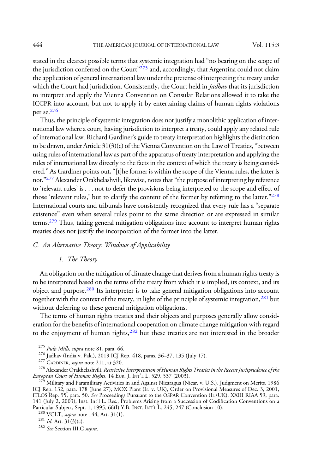stated in the clearest possible terms that systemic integration had "no bearing on the scope of the jurisdiction conferred on the Court"<sup>275</sup> and, accordingly, that Argentina could not claim the application of general international law under the pretense of interpreting the treaty under which the Court had jurisdiction. Consistently, the Court held in *Jadhav* that its jurisdiction to interpret and apply the Vienna Convention on Consular Relations allowed it to take the ICCPR into account, but not to apply it by entertaining claims of human rights violations per se.<sup>276</sup>

Thus, the principle of systemic integration does not justify a monolithic application of international law where a court, having jurisdiction to interpret a treaty, could apply any related rule of international law. Richard Gardiner's guide to treaty interpretation highlights the distinction to be drawn, under Article  $31(3)(c)$  of the Vienna Convention on the Law of Treaties, "between using rules of international law as part of the apparatus of treaty interpretation and applying the rules of international law directly to the facts in the context of which the treaty is being considered." As Gardiner points out,"[t]he former is within the scope of the Vienna rules, the latter is not."<sup>277</sup> Alexander Orakhelashvili, likewise, notes that "the purpose of interpreting by reference to 'relevant rules' is . . . not to defer the provisions being interpreted to the scope and effect of those 'relevant rules,' but to clarify the content of the former by referring to the latter."<sup>278</sup> International courts and tribunals have consistently recognized that every rule has a "separate existence" even when several rules point to the same direction or are expressed in similar terms.279 Thus, taking general mitigation obligations into account to interpret human rights treaties does not justify the incorporation of the former into the latter.

# C. An Alternative Theory: Windows of Applicability

#### 1. The Theory

An obligation on the mitigation of climate change that derives from a human rights treaty is to be interpreted based on the terms of the treaty from which it is implied, its context, and its object and purpose.<sup>280</sup> Its interpreter is to take general mitigation obligations into account together with the context of the treaty, in light of the principle of systemic integration,<sup>281</sup> but without deferring to these general mitigation obligations.

The terms of human rights treaties and their objects and purposes generally allow consideration for the benefits of international cooperation on climate change mitigation with regard to the enjoyment of human rights,<sup>282</sup> but these treaties are not interested in the broader

<sup>276</sup> Jadhav (India v. Pak.), 2019 ICJ Rep. 418, paras. 36–37, 135 (July 17).<br><sup>277</sup> GARDINER, *supra* note 211, at 320.<br><sup>278</sup> Alexander Orakhelashvili, *Restrictive Interpretation of Human Rights Treaties in the Recent Jur* European Court of Human Rights, 14 EUR. J. INT'L L. 529, 537 (2003).<br><sup>279</sup> Military and Paramilitary Activities in and Against Nicaragua (Nicar. v. U.S.), Judgment on Merits, 1986

ICJ Rep. 132, para. 178 (June 27); MOX Plant (Ir. v. UK), Order on Provisional Measures of Dec. 3, 2001, ITLOS Rep. 95, para. 50. See Proceedings Pursuant to the OSPAR Convention (Ir./UK), XXIII RIAA 59, para. 141 (July 2, 2003); Inst. Int'l L. Res., Problems Arising from a Succession of Codification Conventions on a Particular Subject, Sept. 1, 1995, 66(I) Y.B. INST. INT'L L. 245, 247 (Conclusion 10).<br><sup>280</sup> VCLT, *supra* note 144, Art. 31(1).<br><sup>281</sup> Id. Art. 31(3)(c).<br><sup>282</sup> See Section III.C supra.

<sup>&</sup>lt;sup>275</sup> Pulp Mills, supra note 81, para. 66.<br><sup>276</sup> Jadhav (India v. Pak.), 2019 ICJ Rep. 418, paras. 36–37, 135 (July 17).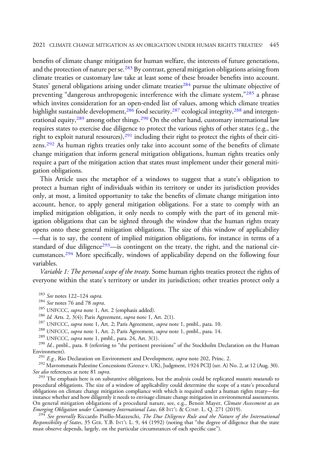benefits of climate change mitigation for human welfare, the interests of future generations, and the protection of nature per se.<sup>283</sup> By contrast, general mitigation obligations arising from climate treaties or customary law take at least some of these broader benefits into account. States' general obligations arising under climate treaties<sup>284</sup> pursue the ultimate objective of preventing "dangerous anthropogenic interference with the climate system,"<sup>285</sup> a phrase which invites consideration for an open-ended list of values, among which climate treaties highlight sustainable development,  $286$  food security,  $287$  ecological integrity,  $288$  and intergenerational equity, $289$  among other things. $290$  On the other hand, customary international law requires states to exercise due diligence to protect the various rights of other states (e.g., the right to exploit natural resources), $291$  including their right to protect the rights of their citizens.<sup>292</sup> As human rights treaties only take into account some of the benefits of climate change mitigation that inform general mitigation obligations, human rights treaties only require a part of the mitigation action that states must implement under their general mitigation obligations.

This Article uses the metaphor of a windows to suggest that a state's obligation to protect a human right of individuals within its territory or under its jurisdiction provides only, at most, a limited opportunity to take the benefits of climate change mitigation into account, hence, to apply general mitigation obligations. For a state to comply with an implied mitigation obligation, it only needs to comply with the part of its general mitigation obligations that can be sighted through the window that the human rights treaty opens onto these general mitigation obligations. The size of this window of applicability —that is to say, the content of implied mitigation obligations, for instance in terms of a standard of due diligence<sup>293</sup>—is contingent on the treaty, the right, and the national circumstances.<sup>294</sup> More specifically, windows of applicability depend on the following four variables.

Variable 1: The personal scope of the treaty. Some human rights treaties protect the rights of everyone within the state's territory or under its jurisdiction; other treaties protect only a

<sup>283</sup> *See* notes 122–124 *supra*.<br><sup>284</sup> *See* notes 76 and 78 *supra*.<br><sup>285</sup> UNFCCC, *supra* note 1, Art. 2 (emphasis added).<br><sup>286</sup> *Id*. Arts. 2, 3(4); Paris Agreement, *supra* note 1, Art. 2(1).<br><sup>287</sup> UNFCCC, *supra* n

<sup>291</sup> E.g., Rio Declaration on Environment and Development, *supra* note 202, Princ. 2.<br><sup>292</sup> Mavrommatis Palestine Concessions (Greece v. UK), Judgment, 1924 PCIJ (ser. A) No. 2, at 12 (Aug. 30).<br>*See also* references at

 $^{293}$  The emphasis here is on substantive obligations, but the analysis could be replicated *mutatis mutandis* to procedural obligations. The size of a window of applicability could determine the scope of a state's procedural obligations on climate change mitigation compliance with which is required under a human rights treaty—for instance whether and how diligently it needs to envisage climate change mitigation in environmental assessments. On general mitigation obligations of a procedural nature, see, e.g., Benoit Mayer, Climate Assessment as an Emerging Obligation under Customary International Law, 68 INT'L & COMP. L. Q. 271 (2019).

 $294$  See generally Riccardo Pisillo-Mazzeschi, The Due Diligence Rule and the Nature of the International Responsibility of States, 35 GER. Y.B. INT'L L. 9, 44 (1992) (noting that "the degree of diligence that the state must observe depends, largely, on the particular circumstances of each specific case").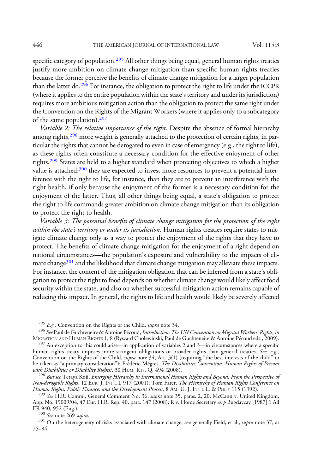specific category of population.<sup>295</sup> All other things being equal, general human rights treaties justify more ambition on climate change mitigation than specific human rights treaties because the former perceive the benefits of climate change mitigation for a larger population than the latter do.<sup>296</sup> For instance, the obligation to protect the right to life under the ICCPR (where it applies to the entire population within the state's territory and under its jurisdiction) requires more ambitious mitigation action than the obligation to protect the same right under the Convention on the Rights of the Migrant Workers (where it applies only to a subcategory of the same population).<sup>297</sup>

Variable 2: The relative importance of the right. Despite the absence of formal hierarchy among rights, $298$  more weight is generally attached to the protection of certain rights, in particular the rights that cannot be derogated to even in case of emergency (e.g., the right to life), as these rights often constitute a necessary condition for the effective enjoyment of other rights.299 States are held to a higher standard when protecting objectives to which a higher value is attached:<sup>300</sup> they are expected to invest more resources to prevent a potential interference with the right to life, for instance, than they are to prevent an interference with the right health, if only because the enjoyment of the former is a necessary condition for the enjoyment of the latter. Thus, all other things being equal, a state's obligation to protect the right to life commands greater ambition on climate change mitigation than its obligation to protect the right to health.

Variable 3: The potential benefits of climate change mitigation for the protection of the right within the state's territory or under its jurisdiction. Human rights treaties require states to mitigate climate change only as a way to protect the enjoyment of the rights that they have to protect. The benefits of climate change mitigation for the enjoyment of a right depend on national circumstances—the population's exposure and vulnerability to the impacts of climate change<sup>301</sup> and the likelihood that climate change mitigation may alleviate these impacts. For instance, the content of the mitigation obligation that can be inferred from a state's obligation to protect the right to food depends on whether climate change would likely affect food security within the state, and also on whether successful mitigation action remains capable of reducing this impact. In general, the rights to life and health would likely be severely affected

<sup>295</sup> E.g., Convention on the Rights of the Child, *supra* note 34.<br><sup>296</sup> See Paul de Guchteneire & Antoine Pécoud, *Introduction: The UN Convention on Migrant Workers' Rights, in* 

MIGRATION AND HUMAN RIGHTS 1, 8 (Ryszard Cholewinski, Paul de Guchteneire & Antoine Pécoud eds., 2009). <sup>297</sup> An exception to this could arise—in application of variables 2 and 3—in circumstances where a specific human rights treaty imposes more stringent obligations or broader rights than general treaties. See, e.g., Convention on the Rights of the Child, *supra* note 34, Art. 3(1) (requiring "the best interests of the child" to be taken as "a primary consideration"); Frédéric Mégret, *The Disabilities Convention: Human Rights of Persons* with Disabilities or Disability Rights?, 30 HUM. RTs. Q. 494 (2008).<br><sup>298</sup> But see Teraya Koji, Emerging Hierarchy in International Human Rights and Beyond: From the Perspective of

Non-derogable Rights, 12 EUR. J. INT'L L 917 (2001); Tom Farer, *The Hierarchy of Human Rights Conference on*<br>Human Rights, Public Finance, and the Development Process, 8 AM. U. J. INT'L L. & POL'Y 115 (1992).

<sup>299</sup> See H.R. Comm., General Comment No. 36, supra note 35, paras. 2, 20; McCann v. United Kingdom, App. No. 19009/04, 47 Eur. H.R. Rep. 40, para. 147 (2008); R v. Home Secretary *ex p* Bugdaycay [1987] 1 All ER 940, 952 (Eng.).

<sup>300</sup> See note 269 supra.<br><sup>301</sup> On the heterogeneity of risks associated with climate change, see generally Field, et al., *supra* note 37, at 75–84.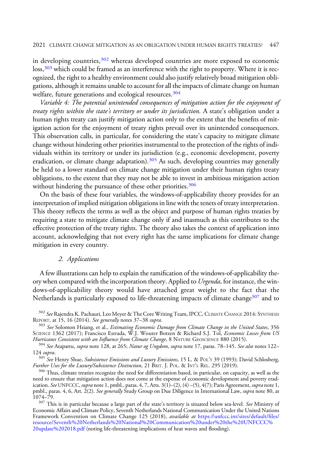in developing countries,  $302$  whereas developed countries are more exposed to economic loss,<sup>303</sup> which could be framed as an interference with the right to property. Where it is recognized, the right to a healthy environment could also justify relatively broad mitigation obligations, although it remains unable to account for all the impacts of climate change on human welfare, future generations and ecological resources.<sup>304</sup>

Variable 4: The potential unintended consequences of mitigation action for the enjoyment of treaty rights within the state's territory or under its jurisdiction. A state's obligation under a human rights treaty can justify mitigation action only to the extent that the benefits of mitigation action for the enjoyment of treaty rights prevail over its unintended consequences. This observation calls, in particular, for considering the state's capacity to mitigate climate change without hindering other priorities instrumental to the protection of the rights of individuals within its territory or under its jurisdiction (e.g., economic development, poverty eradication, or climate change adaptation).305 As such, developing countries may generally be held to a lower standard on climate change mitigation under their human rights treaty obligations, to the extent that they may not be able to invest in ambitious mitigation action without hindering the pursuance of these other priorities.<sup>306</sup>

On the basis of these four variables, the windows-of-applicability theory provides for an interpretation of implied mitigation obligations in line with the tenets of treaty interpretation. This theory reflects the terms as well as the object and purpose of human rights treaties by requiring a state to mitigate climate change only if and inasmuch as this contributes to the effective protection of the treaty rights. The theory also takes the context of application into account, acknowledging that not every right has the same implications for climate change mitigation in every country.

#### 2. Applications

A few illustrations can help to explain the ramification of the windows-of-applicability theory when compared with the incorporation theory. Applied to Urgenda, for instance, the windows-of-applicability theory would have attached great weight to the fact that the Netherlands is particularly exposed to life-threatening impacts of climate change<sup>307</sup> and to

<sup>&</sup>lt;sup>302</sup> See Rajendra K. Pachauri, Leo Meyer & The Core Writing Team, IPCC, CLIMATE CHANGE 2014: SYNTHESIS REPORT, at 15, 16 (2014). *See generally* notes 37–38 *supra.*<br><sup>303</sup> See Solomon Hsiang, et al., *Estimating Economic Damage from Climate Change in the United States*, 356

SCIENCE 1362 (2017); Francisco Estrada, W.J. Wouter Botzen & Richard S.J. Tol, Economic Losses from US Hurricanes Consistent with an Influence from Climate Change, 8 NATURE GEOSCIENCE 880 (2015).

 $^{304}$  *See* Atapattu, *supra* note 128, at 265; *Natur og Ungdom, supra* note 17, paras. 78–145. *See also* notes 122–

<sup>124</sup> supra.<br><sup>305</sup> See Henry Shue, *Subsistence Emissions and Luxury Emissions*, 15 L. & POL'Y 39 (1993); David Schlosberg,<br>*Further Uses for the Luxury/Subsistence Distinction*, 21 BRIT. J. POL. & INT'L REL. 295 (2019).

<sup>&</sup>lt;sup>306</sup> Thus, climate treaties recognize the need for differentiation based, in particular, on capacity, as well as the need to ensure that mitigation action does not come at the expense of economic development and poverty eradication. See UNFCCC, supra note 1, pmbl., paras.  $4, 7$ , Arts.  $3(1)$ –(2), (4) –(5), 4(7); Paris Agreement, supra note 1, pmbl., paras. 4, 6, Art. 2(2). *See generally* Study Group on Due Diligence in International Law, *supra* note 80, at<br>1074–79.

 $10^{307}$  This is in particular because a large part of the state's territory is situated below sea-level. See Ministry of Economic Affairs and Climate Policy, Seventh Netherlands National Communication Under the United Nations Framework Convention on Climate Change 125 (2018), *available at [https://unfccc.int/sites/default/](https://unfccc.int/sites/default/files/resource/Seventh%20Netherlands%20National%20Communication%20under%20the%20UNFCCC%20update%202018.pdf)files/* [resource/Seventh%20Netherlands%20National%20Communication%20under%20the%20UNFCCC%](https://unfccc.int/sites/default/files/resource/Seventh%20Netherlands%20National%20Communication%20under%20the%20UNFCCC%20update%202018.pdf) [20update%202018.pdf](https://unfccc.int/sites/default/files/resource/Seventh%20Netherlands%20National%20Communication%20under%20the%20UNFCCC%20update%202018.pdf) (noting life-threatening implications of heat waves and flooding).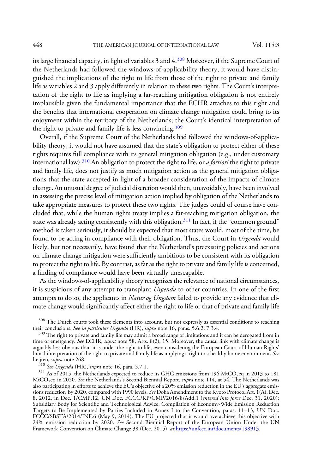its large financial capacity, in light of variables 3 and 4.308 Moreover, if the Supreme Court of the Netherlands had followed the windows-of-applicability theory, it would have distinguished the implications of the right to life from those of the right to private and family life as variables 2 and 3 apply differently in relation to these two rights. The Court's interpretation of the right to life as implying a far-reaching mitigation obligation is not entirely implausible given the fundamental importance that the ECHR attaches to this right and the benefits that international cooperation on climate change mitigation could bring to its enjoyment within the territory of the Netherlands; the Court's identical interpretation of the right to private and family life is less convincing.<sup>309</sup>

Overall, if the Supreme Court of the Netherlands had followed the windows-of-applicability theory, it would not have assumed that the state's obligation to protect either of these rights requires full compliance with its general mitigation obligation (e.g., under customary international law).<sup>310</sup> An obligation to protect the right to life, or *a fortiori* the right to private and family life, does not justify as much mitigation action as the general mitigation obligations that the state accepted in light of a broader consideration of the impacts of climate change. An unusual degree of judicial discretion would then, unavoidably, have been involved in assessing the precise level of mitigation action implied by obligation of the Netherlands to take appropriate measures to protect these two rights. The judges could of course have concluded that, while the human rights treaty implies a far-reaching mitigation obligation, the state was already acting consistently with this obligation.<sup>311</sup> In fact, if the "common ground" method is taken seriously, it should be expected that most states would, most of the time, be found to be acting in compliance with their obligation. Thus, the Court in Urgenda would likely, but not necessarily, have found that the Netherland's preexisting policies and actions on climate change mitigation were sufficiently ambitious to be consistent with its obligation to protect the right to life. By contrast, as far as the right to private and family life is concerned, a finding of compliance would have been virtually unescapable.

As the windows-of-applicability theory recognizes the relevance of national circumstances, it is suspicious of any attempt to transplant *Urgenda* to other countries. In one of the first attempts to do so, the applicants in *Natur og Ungdom* failed to provide any evidence that climate change would significantly affect either the right to life or that of private and family life

 $308$  The Dutch courts took these elements into account, but not expressly as essential conditions to reaching their conclusions. See in particular Urgenda (HR), supra note 16, paras. 5.6.2, 7.3.4.

their conclusions. *See in particular Urgenda* (HR), *supra* note 16, paras. 5.6.2, 7.3.4.<br><sup>309</sup> The right to private and family life may admit a broad range of limitations and it can be derogated from in time of emergency. *See* ECHR, *supra* note 58, Arts. 8(2), 15. Moreover, the causal link with climate change is arguably less obvious than it is under the right to life, even considering the European Court of Human Rights' broad interpretation of the right to private and family life as implying a right to a healthy home environment. See

Leijten, *supra* note 268.<br><sup>310</sup> See Urgenda (HR), supra note 16, para. 5.7.1.<br><sup>311</sup> As of 2015, the Netherlands expected to reduce its GHG emissions from 196 MtCO<sub>2</sub>eq in 2013 to 181 MtCO<sub>2</sub>eq in 2020. *See* the Netherlands's Second Biennial Report, *supra* note 114, at 54. The Netherlands was also participating in efforts to achieve the EU's objective of a 20% emission reduction in the EU's aggregate emissions reduction by 2020, compared with 1990 levels. *See* Doha Amendment to the Kyoto Protocol Art. 1(A), Dec. 8, 2012, in Dec. 1/CMP.12, UN Doc. FCCC/KP/CMP/2016/8/Add.1 (*entered into force* Dec. 31, 2020);<br>Subsidiary Body for Scientific and Technological Advice, Compilation of Economy-Wide Emission Reduction Targets to Be Implemented by Parties Included in Annex I to the Convention, paras. 11–13, UN Doc. FCCC/SBSTA/2014/INF.6 (May 9, 2014). The EU projected that it would overachieve this objective with 24% emission reduction by 2020. See Second Biennial Report of the European Union Under the UN Framework Convention on Climate Change 38 (Dec. 2015), at <https://unfccc.int/documents/198913>.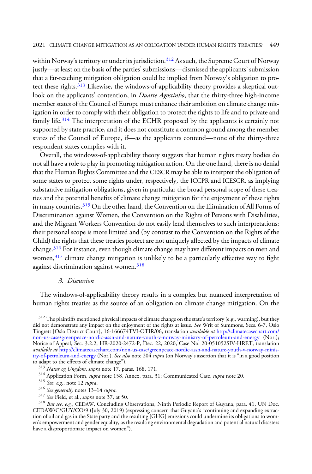within Norway's territory or under its jurisdiction.<sup>312</sup> As such, the Supreme Court of Norway justly—at least on the basis of the parties' submissions—dismissed the applicants' submission that a far-reaching mitigation obligation could be implied from Norway's obligation to protect these rights.<sup>313</sup> Likewise, the windows-of-applicability theory provides a skeptical outlook on the applicants' contention, in *Duarte Agostinho*, that the thirty-three high-income member states of the Council of Europe must enhance their ambition on climate change mitigation in order to comply with their obligation to protect the rights to life and to private and family life.<sup>314</sup> The interpretation of the ECHR proposed by the applicants is certainly not supported by state practice, and it does not constitute a common ground among the member states of the Council of Europe, if—as the applicants contend—none of the thirty-three respondent states complies with it.

Overall, the windows-of-applicability theory suggests that human rights treaty bodies do not all have a role to play in promoting mitigation action. On the one hand, there is no denial that the Human Rights Committee and the CESCR may be able to interpret the obligation of some states to protect some rights under, respectively, the ICCPR and ICESCR, as implying substantive mitigation obligations, given in particular the broad personal scope of these treaties and the potential benefits of climate change mitigation for the enjoyment of these rights in many countries.<sup>315</sup> On the other hand, the Convention on the Elimination of All Forms of Discrimination against Women, the Convention on the Rights of Persons with Disabilities, and the Migrant Workers Convention do not easily lend themselves to such interpretations: their personal scope is more limited and (by contrast to the Convention on the Rights of the Child) the rights that these treaties protect are not uniquely affected by the impacts of climate change.316 For instance, even though climate change may have different impacts on men and women, $3^{17}$  climate change mitigation is unlikely to be a particularly effective way to fight against discrimination against women.<sup>318</sup>

#### 3. Discussion

The windows-of-applicability theory results in a complex but nuanced interpretation of human rights treaties as the source of an obligation on climate change mitigation. On the

 $312$  The plaintiffs mentioned physical impacts of climate change on the state's territory (e.g., warming), but they did not demonstrate any impact on the enjoyment of the rights at issue. See Writ of Summons, Secs. 6-7, Oslo Tingrett [Oslo District Court], 16-166674TVI-OTIR/06, translation available at [http://climatecasechart.com/](http://climatecasechart.com/non-us-case/greenpeace-nordic-assn-and-nature-youth-v-norway-ministry-of-petroleum-and-energy) [non-us-case/greenpeace-nordic-assn-and-nature-youth-v-norway-ministry-of-petroleum-and-energy](http://climatecasechart.com/non-us-case/greenpeace-nordic-assn-and-nature-youth-v-norway-ministry-of-petroleum-and-energy) (Nor.); Notice of Appeal, Sec. 3.2.2, HR-2020-2472-P, Dec. 22, 2020, Case No. 20-051052SIV-HRET, translation available at [http://climatecasechart.com/non-us-case/greenpeace-nordic-assn-and-nature-youth-v-norway-minis](http://climatecasechart.com/non-us-case/greenpeace-nordic-assn-and-nature-youth-v-norway-ministry-of-petroleum-and-energy)[try-of-petroleum-and-energy](http://climatecasechart.com/non-us-case/greenpeace-nordic-assn-and-nature-youth-v-norway-ministry-of-petroleum-and-energy) (Nor.). *See also* note 204 *supra* (on Norway's assertion that it is "in a good position to adapt to the effects of climate change").<br><sup>313</sup> Natur og Ungdom, supra note 17, paras. 168, 171.<br><sup>314</sup> Application Form, *supra* note 158, Annex, para. 31; Communicated Case, *supra* note 20.

- 
- 
- 
- 

<sup>&</sup>lt;sup>314</sup> Application Form, *supra* note 158, Annex, para. 31; Communicated Case, *supra* note 20.<br><sup>315</sup> See, e.g., note 12 *supra*.<br><sup>316</sup> See generally notes 13–14 *supra*.<br><sup>317</sup> See Field, et al., *supra* note 37, at 50.<br><sup>31</sup> CEDAW/C/GUY/CO/9 (July 30, 2019) (expressing concern that Guyana's "continuing and expanding extraction of oil and gas in the State party and the resulting [GHG] emissions could undermine its obligations to women's empowerment and gender equality, as the resulting environmental degradation and potential natural disasters have a disproportionate impact on women").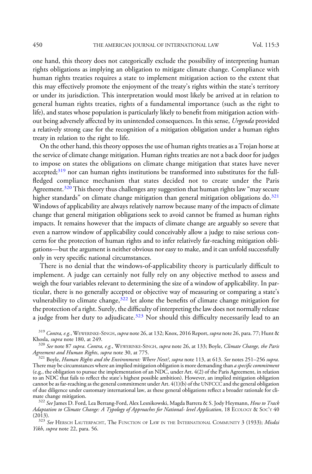one hand, this theory does not categorically exclude the possibility of interpreting human rights obligations as implying an obligation to mitigate climate change. Compliance with human rights treaties requires a state to implement mitigation action to the extent that this may effectively promote the enjoyment of the treaty's rights within the state's territory or under its jurisdiction. This interpretation would most likely be arrived at in relation to general human rights treaties, rights of a fundamental importance (such as the right to life), and states whose population is particularly likely to benefit from mitigation action without being adversely affected by its unintended consequences. In this sense, Urgenda provided a relatively strong case for the recognition of a mitigation obligation under a human rights treaty in relation to the right to life.

On the other hand, this theory opposes the use of human rights treaties as a Trojan horse at the service of climate change mitigation. Human rights treaties are not a back door for judges to impose on states the obligations on climate change mitigation that states have never accepted;<sup>319</sup> nor can human rights institutions be transformed into substitutes for the fullfledged compliance mechanism that states decided not to create under the Paris Agreement.<sup>320</sup> This theory thus challenges any suggestion that human rights law "may secure higher standards" on climate change mitigation than general mitigation obligations do.<sup>321</sup> Windows of applicability are always relatively narrow because many of the impacts of climate change that general mitigation obligations seek to avoid cannot be framed as human rights impacts. It remains however that the impacts of climate change are arguably so severe that even a narrow window of applicability could conceivably allow a judge to raise serious concerns for the protection of human rights and to infer relatively far-reaching mitigation obligations—but the argument is neither obvious nor easy to make, and it can unfold successfully only in very specific national circumstances.

There is no denial that the windows-of-applicability theory is particularly difficult to implement. A judge can certainly not fully rely on any objective method to assess and weigh the four variables relevant to determining the size of a window of applicability. In particular, there is no generally accepted or objective way of measuring or comparing a state's vulnerability to climate change, $322$  let alone the benefits of climate change mitigation for the protection of a right. Surely, the difficulty of interpreting the law does not normally release a judge from her duty to adjudicate. $323$  Nor should this difficulty necessarily lead to an

322 See James D. Ford, Lea Berrang-Ford, Alex Lesnikowski, Magda Barrera & S. Jody Heymann, How to Track Adaptation to Climate Change: A Typology of Approaches for National- level Application, 18 ECOLOGY & SOC'Y 40

(2013).<br><sup>323</sup> See Hersch Lauterpacht, The Function of Law in the International Community 3 (1933); *Misdzi* Yikh, supra note 22, para. 56.

 $319$  Contra, e.g., WEWERINKE-SINGH, supra note 26, at 132; Knox, 2016 Report, supra note 26, para. 77; Hunt & Khosla, supra note 180, at 249.

 $\frac{320}{2}$  See note 87 supra. Contra, e.g., WEWERINKE-SINGH, supra note 26, at 133; Boyle, Climate Change, the Paris Agreement and Human Rights, supra note 30, at 775.

 $^{321}$  Boyle, Human Rights and the Environment: Where Next?, supra note 113, at 613. See notes 251–256 supra. There may be circumstances where an implied mitigation obligation is more demanding than a specific commitment (e.g., the obligation to pursue the implementation of an NDC, under Art. 4(2) of the Paris Agreement, in relation to an NDC that fails to reflect the state's highest possible ambition). However, an implied mitigation obligation cannot be as far-reaching as the general commitment under Art. 4(1)(b) of the UNFCCC and the general obligation of due diligence under customary international law, as these general obligations reflect a broader rationale for cli-